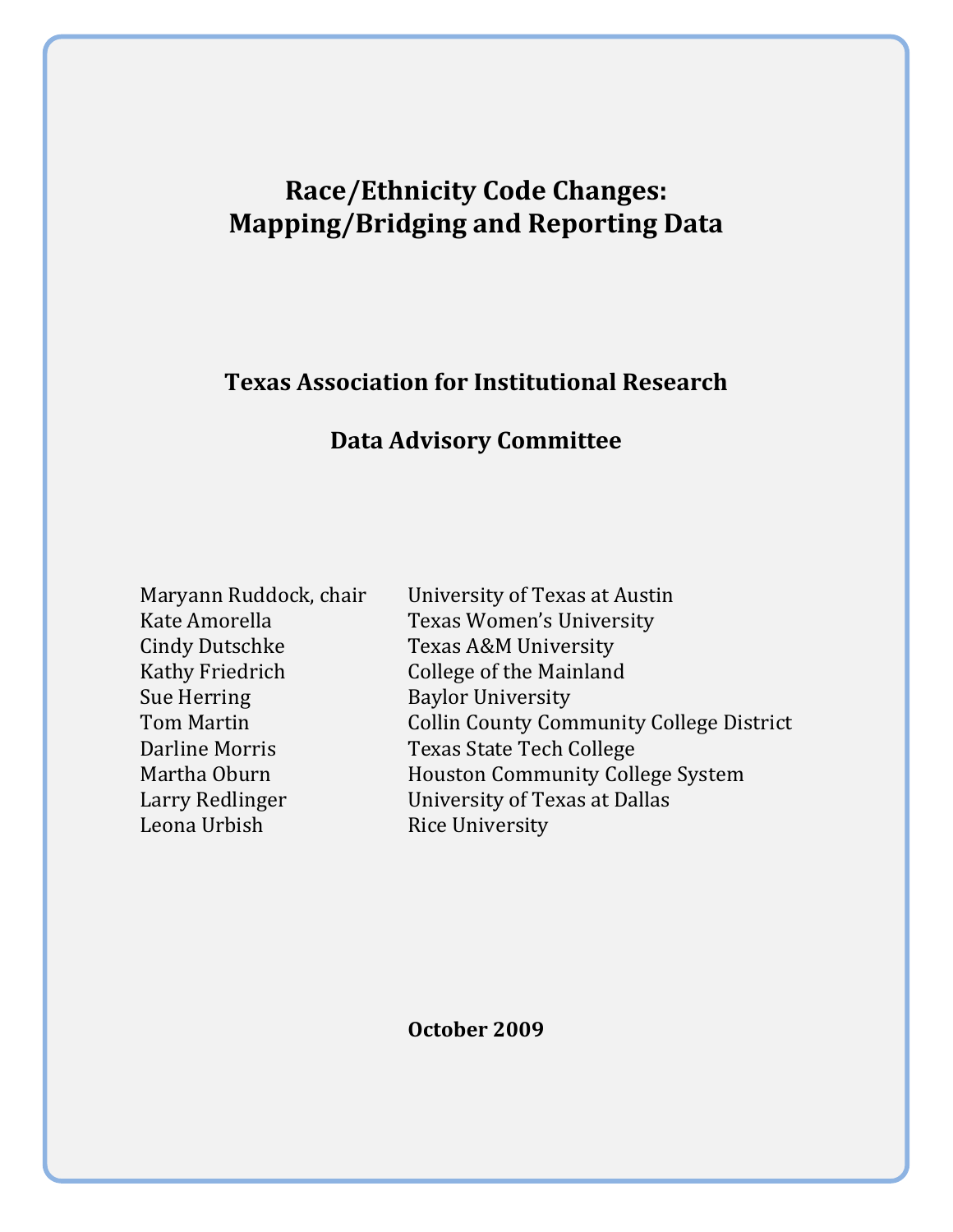# **Race/Ethnicity Code Changes: Mapping/Bridging and Reporting Data**

**Texas Association for Institutional Research**

# **Data Advisory Committee**

Cindy Dutschke Texas A&M University Sue Herring Baylor University Leona Urbish Rice University

Maryann Ruddock, chair University of Texas at Austin Kate Amorella Texas Women's University Kathy Friedrich College of the Mainland Tom Martin Collin County Community College District Darline Morris Texas State Tech College Martha Oburn **Martha Oburn** Houston Community College System Larry Redlinger **Iniversity of Texas at Dallas** 

**October 2009**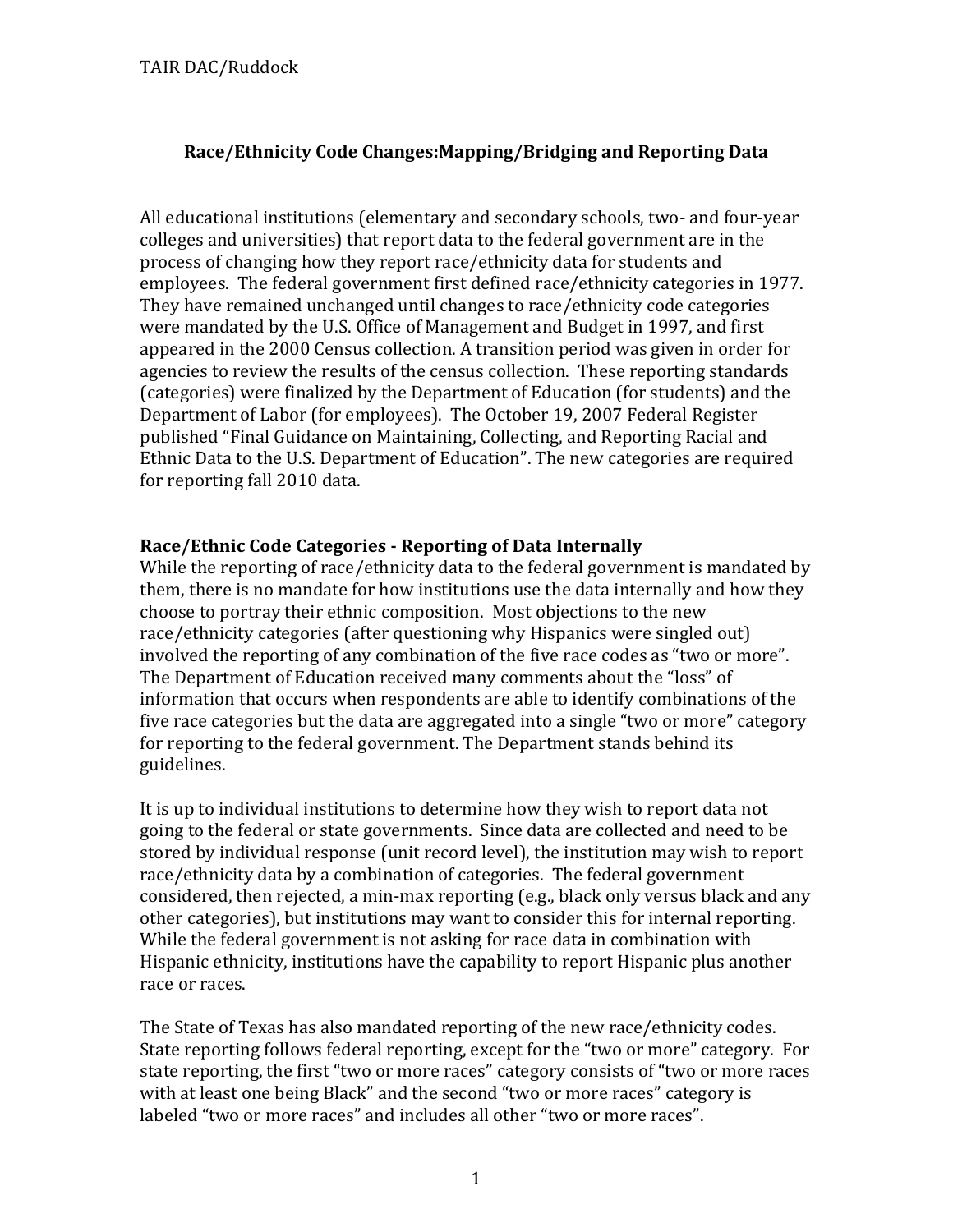# **Race/Ethnicity Code Changes:Mapping/Bridging and Reporting Data**

All educational institutions (elementary and secondary schools, two‐ and four‐year colleges and universities) that report data to the federal government are in the process of changing how they report race/ethnicity data for students and employees. The federal government first defined race/ethnicity categories in 1977. They have remained unchanged until changes to race/ethnicity code categories were mandated by the U.S. Office of Management and Budget in 1997, and first appeared in the 2000 Census collection. A transition period was given in order for agencies to review the results of the census collection. These reporting standards (categories) were finalized by the Department of Education (for students) and the Department of Labor (for employees). The October 19, 2007 Federal Register published "Final Guidance on Maintaining, Collecting, and Reporting Racial and Ethnic Data to the U.S. Department of Education". The new categories are required for reporting fall 2010 data.

#### **Race/Ethnic Code Categories Reporting of Data Internally**

While the reporting of race/ethnicity data to the federal government is mandated by them, there is no mandate for how institutions use the data internally and how they choose to portray their ethnic composition. Most objections to the new race/ethnicity categories (after questioning why Hispanics were singled out) involved the reporting of any combination of the five race codes as "two or more". The Department of Education received many comments about the "loss" of information that occurs when respondents are able to identify combinations of the five race categories but the data are aggregated into a single "two or more" category for reporting to the federal government. The Department stands behind its guidelines.

It is up to individual institutions to determine how they wish to report data not going to the federal or state governments. Since data are collected and need to be stored by individual response (unit record level), the institution may wish to report race/ethnicity data by a combination of categories. The federal government considered, then rejected, a min‐max reporting (e.g., black only versus black and any other categories), but institutions may want to consider this for internal reporting. While the federal government is not asking for race data in combination with Hispanic ethnicity, institutions have the capability to report Hispanic plus another race or races.

The State of Texas has also mandated reporting of the new race/ethnicity codes. State reporting follows federal reporting, except for the "two or more" category. For state reporting, the first "two or more races" category consists of "two or more races with at least one being Black" and the second "two or more races" category is labeled "two or more races" and includes all other "two or more races".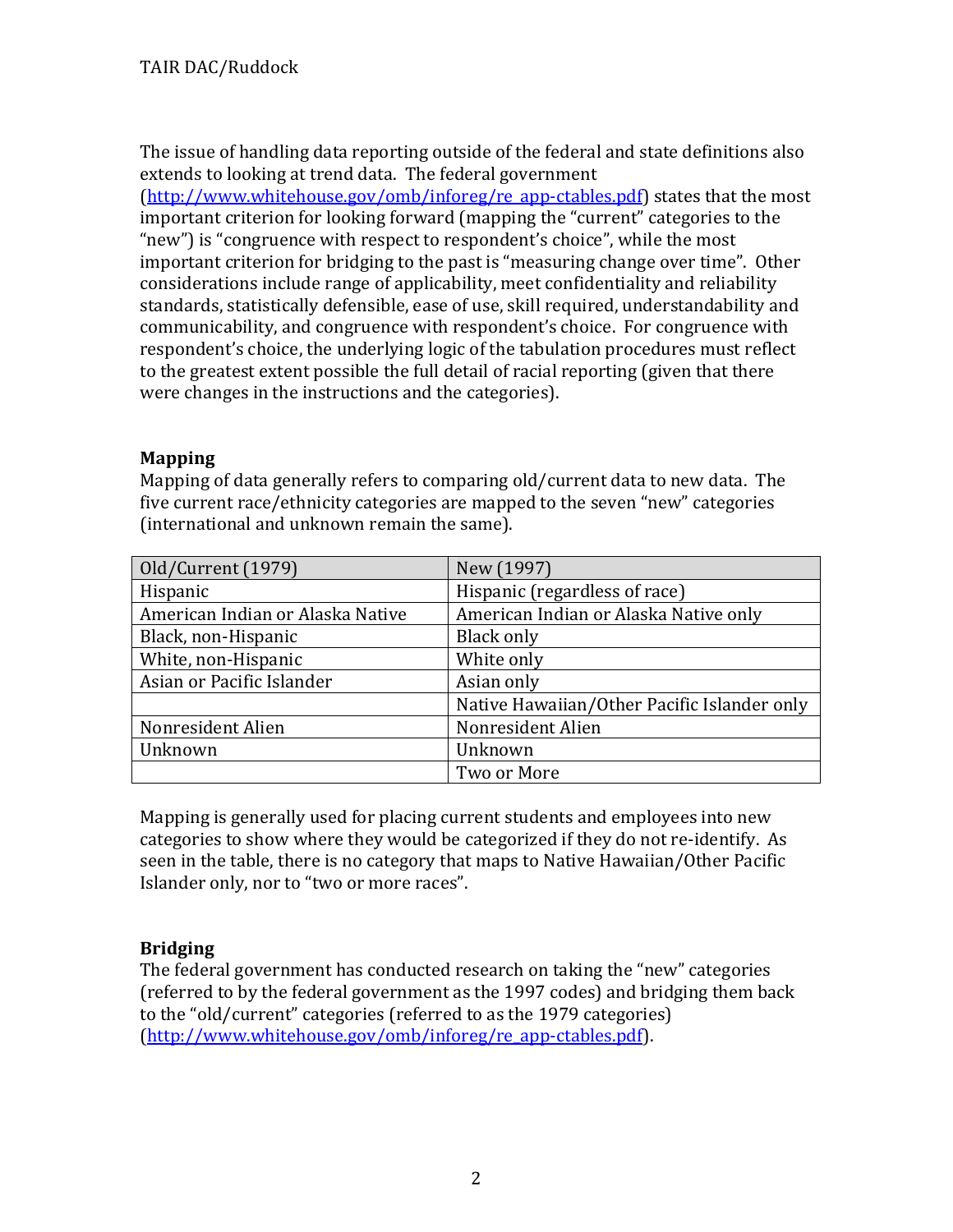The issue of handling data reporting outside of the federal and state definitions also extends to looking at trend data. The federal government

(http://www.whitehouse.gov/omb/inforeg/re\_app‐ctables.pdf) states that the most important criterion for looking forward (mapping the "current" categories to the "new") is "congruence with respect to respondent's choice", while the most important criterion for bridging to the past is "measuring change over time". Other considerations include range of applicability, meet confidentiality and reliability standards, statistically defensible, ease of use, skill required, understandability and communicability, and congruence with respondent's choice. For congruence with respondent's choice, the underlying logic of the tabulation procedures must reflect to the greatest extent possible the full detail of racial reporting (given that there were changes in the instructions and the categories).

# **Mapping**

Mapping of data generally refers to comparing old/current data to new data. The five current race/ethnicity categories are mapped to the seven "new" categories (international and unknown remain the same).

| Old/Current (1979)               | New (1997)                                  |
|----------------------------------|---------------------------------------------|
| Hispanic                         | Hispanic (regardless of race)               |
| American Indian or Alaska Native | American Indian or Alaska Native only       |
| Black, non-Hispanic              | Black only                                  |
| White, non-Hispanic              | White only                                  |
| Asian or Pacific Islander        | Asian only                                  |
|                                  | Native Hawaiian/Other Pacific Islander only |
| Nonresident Alien                | Nonresident Alien                           |
| Unknown                          | Unknown                                     |
|                                  | Two or More                                 |

Mapping is generally used for placing current students and employees into new categories to show where they would be categorized if they do not re-identify. As seen in the table, there is no category that maps to Native Hawaiian/Other Pacific Islander only, nor to "two or more races".

# **Bridging**

The federal government has conducted research on taking the "new" categories (referred to by the federal government as the 1997 codes) and bridging them back to the "old/current" categories (referred to as the 1979 categories) (http://www.whitehouse.gov/omb/inforeg/re\_app‐ctables.pdf).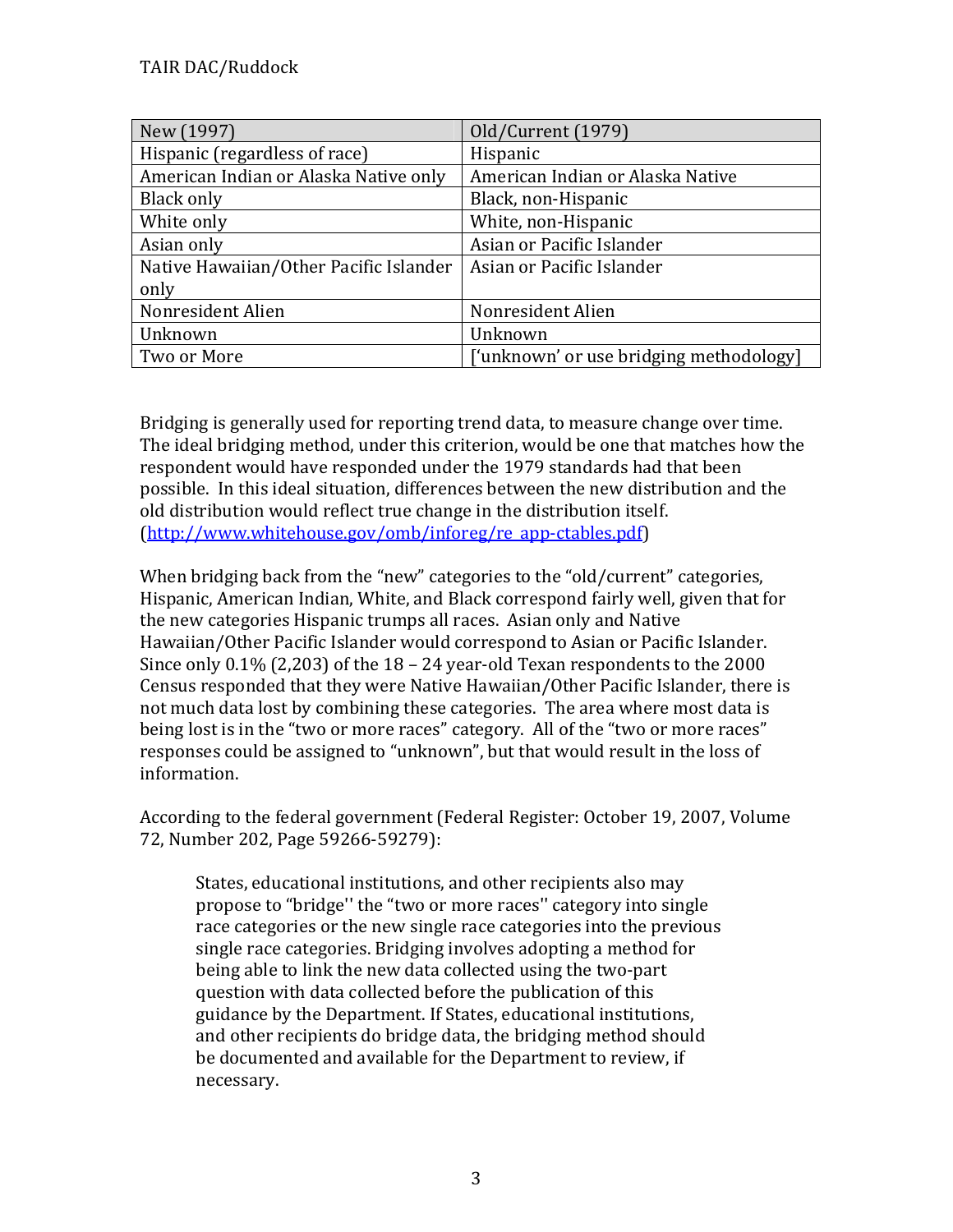| New (1997)                             | Old/Current (1979)                      |
|----------------------------------------|-----------------------------------------|
| Hispanic (regardless of race)          | Hispanic                                |
| American Indian or Alaska Native only  | American Indian or Alaska Native        |
| Black only                             | Black, non-Hispanic                     |
| White only                             | White, non-Hispanic                     |
| Asian only                             | Asian or Pacific Islander               |
| Native Hawaiian/Other Pacific Islander | Asian or Pacific Islander               |
| only                                   |                                         |
| Nonresident Alien                      | Nonresident Alien                       |
| Unknown                                | Unknown                                 |
| Two or More                            | ['unknown' or use bridging methodology] |

Bridging is generally used for reporting trend data, to measure change over time. The ideal bridging method, under this criterion, would be one that matches how the respondent would have responded under the 1979 standards had that been possible. In this ideal situation, differences between the new distribution and the old distribution would reflect true change in the distribution itself. (http://www.whitehouse.gov/omb/inforeg/re\_app‐ctables.pdf)

When bridging back from the "new" categories to the "old/current" categories, Hispanic, American Indian, White, and Black correspond fairly well, given that for the new categories Hispanic trumps all races. Asian only and Native Hawaiian/Other Pacific Islander would correspond to Asian or Pacific Islander. Since only  $0.1\%$  (2,203) of the  $18 - 24$  year-old Texan respondents to the 2000 Census responded that they were Native Hawaiian/Other Pacific Islander, there is not much data lost by combining these categories. The area where most data is being lost is in the "two or more races" category. All of the "two or more races" responses could be assigned to "unknown", but that would result in the loss of information.

According to the federal government (Federal Register: October 19, 2007, Volume 72, Number 202, Page 59266‐59279):

States, educational institutions, and other recipients also may propose to "bridge'' the "two or more races'' category into single race categories or the new single race categories into the previous single race categories. Bridging involves adopting a method for being able to link the new data collected using the two‐part question with data collected before the publication of this guidance by the Department. If States, educational institutions, and other recipients do bridge data, the bridging method should be documented and available for the Department to review, if necessary.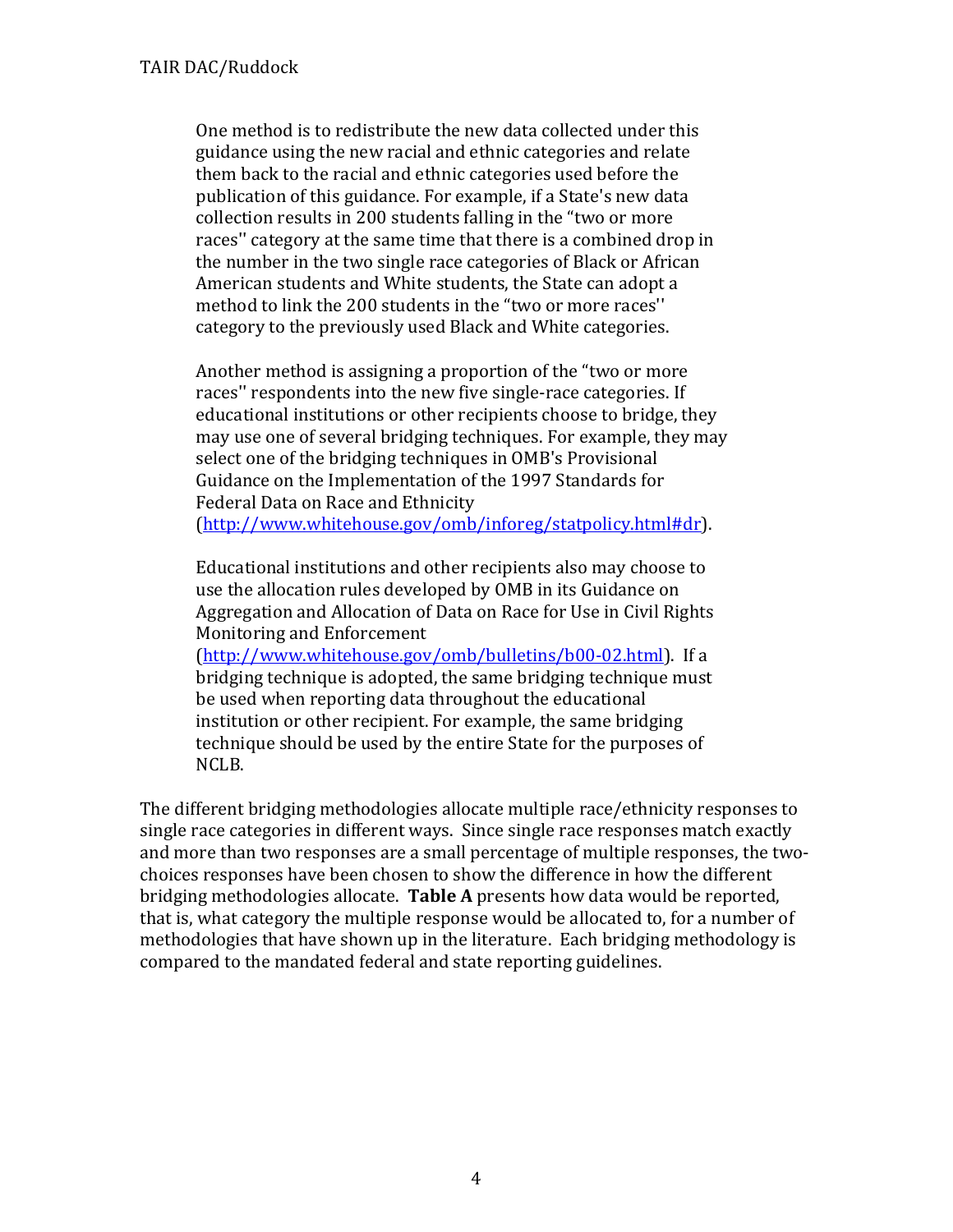One method is to redistribute the new data collected under this guidance using the new racial and ethnic categories and relate them back to the racial and ethnic categories used before the publication of this guidance. For example, if a State's new data collection results in 200 students falling in the "two or more races'' category at the same time that there is a combined drop in the number in the two single race categories of Black or African American students and White students, the State can adopt a method to link the 200 students in the "two or more races'' category to the previously used Black and White categories.

Another method is assigning a proportion of the "two or more races'' respondents into the new five single‐race categories. If educational institutions or other recipients choose to bridge, they may use one of several bridging techniques. For example, they may select one of the bridging techniques in OMB's Provisional Guidance on the Implementation of the 1997 Standards for Federal Data on Race and Ethnicity (http://www.whitehouse.gov/omb/inforeg/statpolicy.html#dr).

Educational institutions and other recipients also may choose to use the allocation rules developed by OMB in its Guidance on Aggregation and Allocation of Data on Race for Use in Civil Rights Monitoring and Enforcement

(http://www.whitehouse.gov/omb/bulletins/b00‐02.html). If a bridging technique is adopted, the same bridging technique must be used when reporting data throughout the educational institution or other recipient. For example, the same bridging technique should be used by the entire State for the purposes of NCLB.

The different bridging methodologies allocate multiple race/ethnicity responses to single race categories in different ways. Since single race responses match exactly and more than two responses are a small percentage of multiple responses, the two‐ choices responses have been chosen to show the difference in how the different bridging methodologies allocate. **Table A** presents how data would be reported, that is, what category the multiple response would be allocated to, for a number of methodologies that have shown up in the literature. Each bridging methodology is compared to the mandated federal and state reporting guidelines.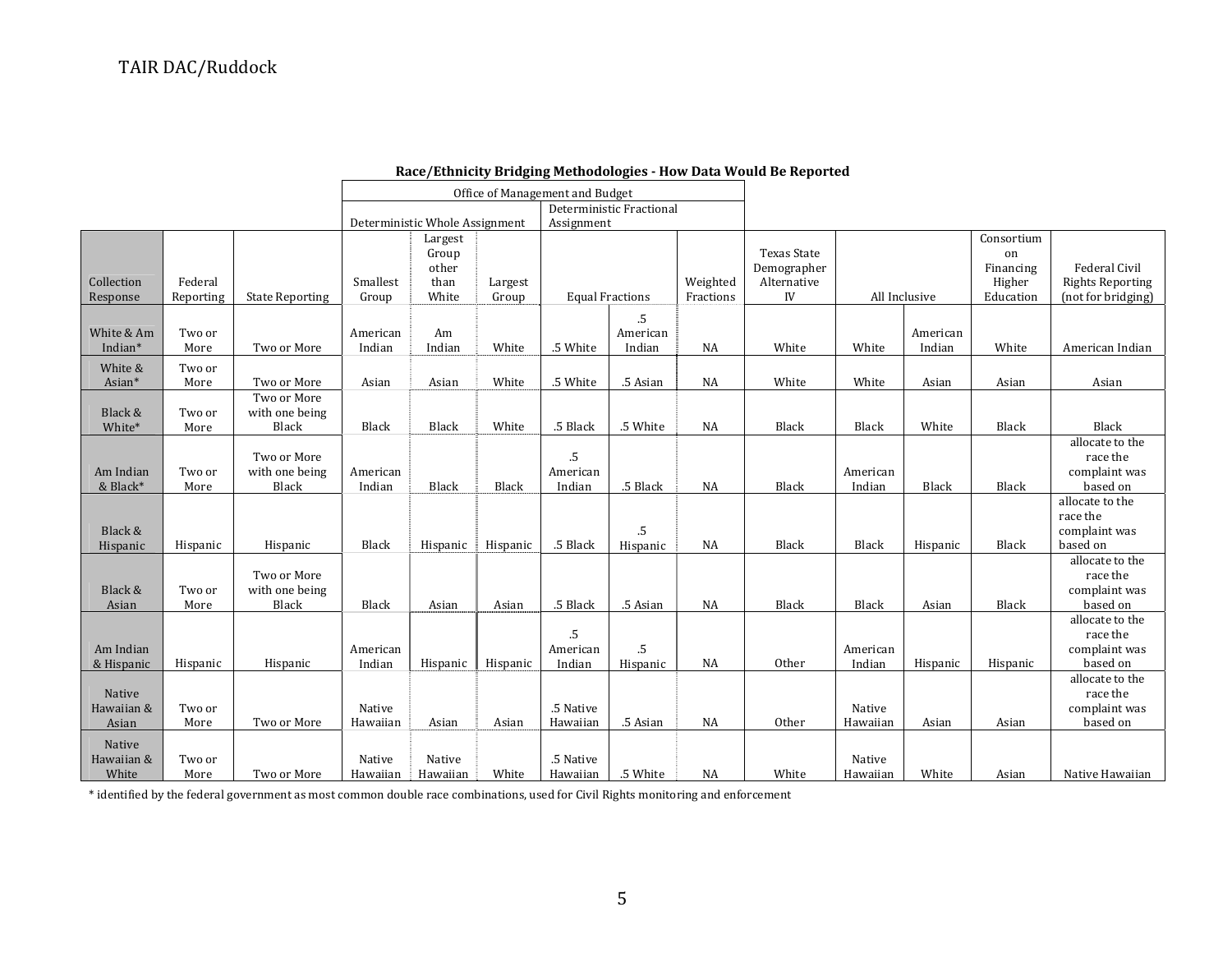| Race/Ethnicity Bridging Methodologies - How Data Would Be Reported |  |
|--------------------------------------------------------------------|--|
|                                                                    |  |

| Office of Management and Budget |                      |                                        |                    |                                            |                  |                              |                          |                       |                                                        |                    |                    |                                                      |                                                                |
|---------------------------------|----------------------|----------------------------------------|--------------------|--------------------------------------------|------------------|------------------------------|--------------------------|-----------------------|--------------------------------------------------------|--------------------|--------------------|------------------------------------------------------|----------------------------------------------------------------|
|                                 |                      |                                        |                    | Deterministic Fractional                   |                  |                              |                          |                       |                                                        |                    |                    |                                                      |                                                                |
|                                 |                      |                                        |                    | Deterministic Whole Assignment             |                  | Assignment                   |                          |                       |                                                        |                    |                    |                                                      |                                                                |
| Collection<br>Response          | Federal<br>Reporting | <b>State Reporting</b>                 | Smallest<br>Group  | Largest<br>Group<br>other<br>than<br>White | Largest<br>Group |                              | <b>Equal Fractions</b>   | Weighted<br>Fractions | <b>Texas State</b><br>Demographer<br>Alternative<br>IV | All Inclusive      |                    | Consortium<br>on<br>Financing<br>Higher<br>Education | Federal Civil<br><b>Rights Reporting</b><br>(not for bridging) |
| White & Am<br>Indian*           | Two or<br>More       | Two or More                            | American<br>Indian | Am<br>Indian                               | White            | .5 White                     | .5<br>American<br>Indian | <b>NA</b>             | White                                                  | White              | American<br>Indian | White                                                | American Indian                                                |
| White &<br>Asian*               | Two or<br>More       | Two or More                            | Asian              | Asian                                      | White            | .5 White                     | .5 Asian                 | NA                    | White                                                  | White              | Asian              | Asian                                                | Asian                                                          |
| Black &<br>White*               | Two or<br>More       | Two or More<br>with one being<br>Black | Black              | Black                                      | White            | .5 Black                     | .5 White                 | <b>NA</b>             | Black                                                  | Black              | White              | Black                                                | Black                                                          |
| Am Indian<br>& Black*           | Two or<br>More       | Two or More<br>with one being<br>Black | American<br>Indian | Black                                      | Black            | $.5\,$<br>American<br>Indian | .5 Black                 | NA                    | Black                                                  | American<br>Indian | Black              | Black                                                | allocate to the<br>race the<br>complaint was<br>based on       |
| Black &<br>Hispanic             | Hispanic             | Hispanic                               | Black              | Hispanic                                   | Hispanic         | .5 Black                     | .5<br>Hispanic           | NA                    | Black                                                  | Black              | Hispanic           | Black                                                | allocate to the<br>race the<br>complaint was<br>based on       |
| Black &<br>Asian                | Two or<br>More       | Two or More<br>with one being<br>Black | Black              | Asian                                      | Asian            | .5 Black                     | .5 Asian                 | <b>NA</b>             | Black                                                  | Black              | Asian              | Black                                                | allocate to the<br>race the<br>complaint was<br>based on       |
| Am Indian<br>& Hispanic         | Hispanic             | Hispanic                               | American<br>Indian | Hispanic                                   | Hispanic         | .5<br>American<br>Indian     | .5<br>Hispanic           | <b>NA</b>             | Other                                                  | American<br>Indian | Hispanic           | Hispanic                                             | allocate to the<br>race the<br>complaint was<br>based on       |
| Native<br>Hawaiian &<br>Asian   | Two or<br>More       | Two or More                            | Native<br>Hawaiian | Asian                                      | Asian            | .5 Native<br>Hawaiian        | .5 Asian                 | NA                    | Other                                                  | Native<br>Hawaiian | Asian              | Asian                                                | allocate to the<br>race the<br>complaint was<br>based on       |
| Native<br>Hawaiian &<br>White   | Two or<br>More       | Two or More                            | Native<br>Hawaiian | Native<br>Hawaiian                         | White            | .5 Native<br>Hawaiian        | .5 White                 | NA                    | White                                                  | Native<br>Hawaiian | White              | Asian                                                | Native Hawaiian                                                |

\* identified by the federal government as most common double race combinations, used for Civil Rights monitoring and enforcement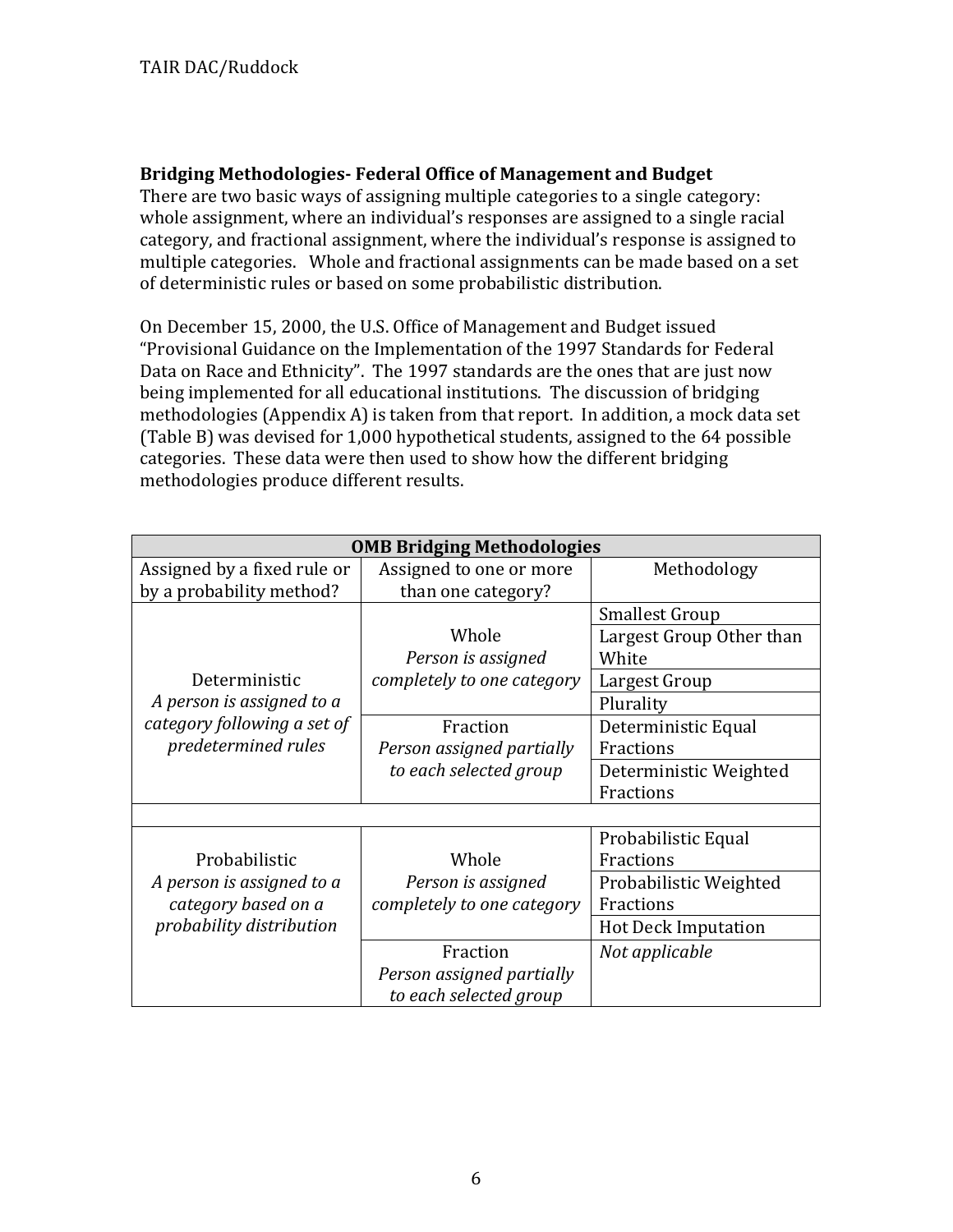# **Bridging Methodologies Federal Office of Management and Budget**

There are two basic ways of assigning multiple categories to a single category: whole assignment, where an individual's responses are assigned to a single racial category, and fractional assignment, where the individual's response is assigned to multiple categories. Whole and fractional assignments can be made based on a set of deterministic rules or based on some probabilistic distribution.

On December 15, 2000, the U.S. Office of Management and Budget issued "Provisional Guidance on the Implementation of the 1997 Standards for Federal Data on Race and Ethnicity". The 1997 standards are the ones that are just now being implemented for all educational institutions. The discussion of bridging methodologies (Appendix A) is taken from that report. In addition, a mock data set (Table B) was devised for 1,000 hypothetical students, assigned to the 64 possible categories. These data were then used to show how the different bridging methodologies produce different results.

| <b>OMB Bridging Methodologies</b> |                            |                            |  |  |  |  |  |
|-----------------------------------|----------------------------|----------------------------|--|--|--|--|--|
| Assigned by a fixed rule or       | Assigned to one or more    | Methodology                |  |  |  |  |  |
| by a probability method?          | than one category?         |                            |  |  |  |  |  |
|                                   |                            | <b>Smallest Group</b>      |  |  |  |  |  |
|                                   | Whole                      | Largest Group Other than   |  |  |  |  |  |
|                                   | Person is assigned         | White                      |  |  |  |  |  |
| Deterministic                     | completely to one category | Largest Group              |  |  |  |  |  |
| A person is assigned to a         |                            | Plurality                  |  |  |  |  |  |
| category following a set of       | Fraction                   | Deterministic Equal        |  |  |  |  |  |
| predetermined rules               | Person assigned partially  | Fractions                  |  |  |  |  |  |
|                                   | to each selected group     | Deterministic Weighted     |  |  |  |  |  |
|                                   |                            | Fractions                  |  |  |  |  |  |
|                                   |                            |                            |  |  |  |  |  |
|                                   |                            | Probabilistic Equal        |  |  |  |  |  |
| Probabilistic                     | Whole                      | Fractions                  |  |  |  |  |  |
| A person is assigned to a         | Person is assigned         | Probabilistic Weighted     |  |  |  |  |  |
| category based on a               | completely to one category | Fractions                  |  |  |  |  |  |
| probability distribution          |                            | <b>Hot Deck Imputation</b> |  |  |  |  |  |
|                                   | Fraction                   | Not applicable             |  |  |  |  |  |
|                                   | Person assigned partially  |                            |  |  |  |  |  |
|                                   | to each selected group     |                            |  |  |  |  |  |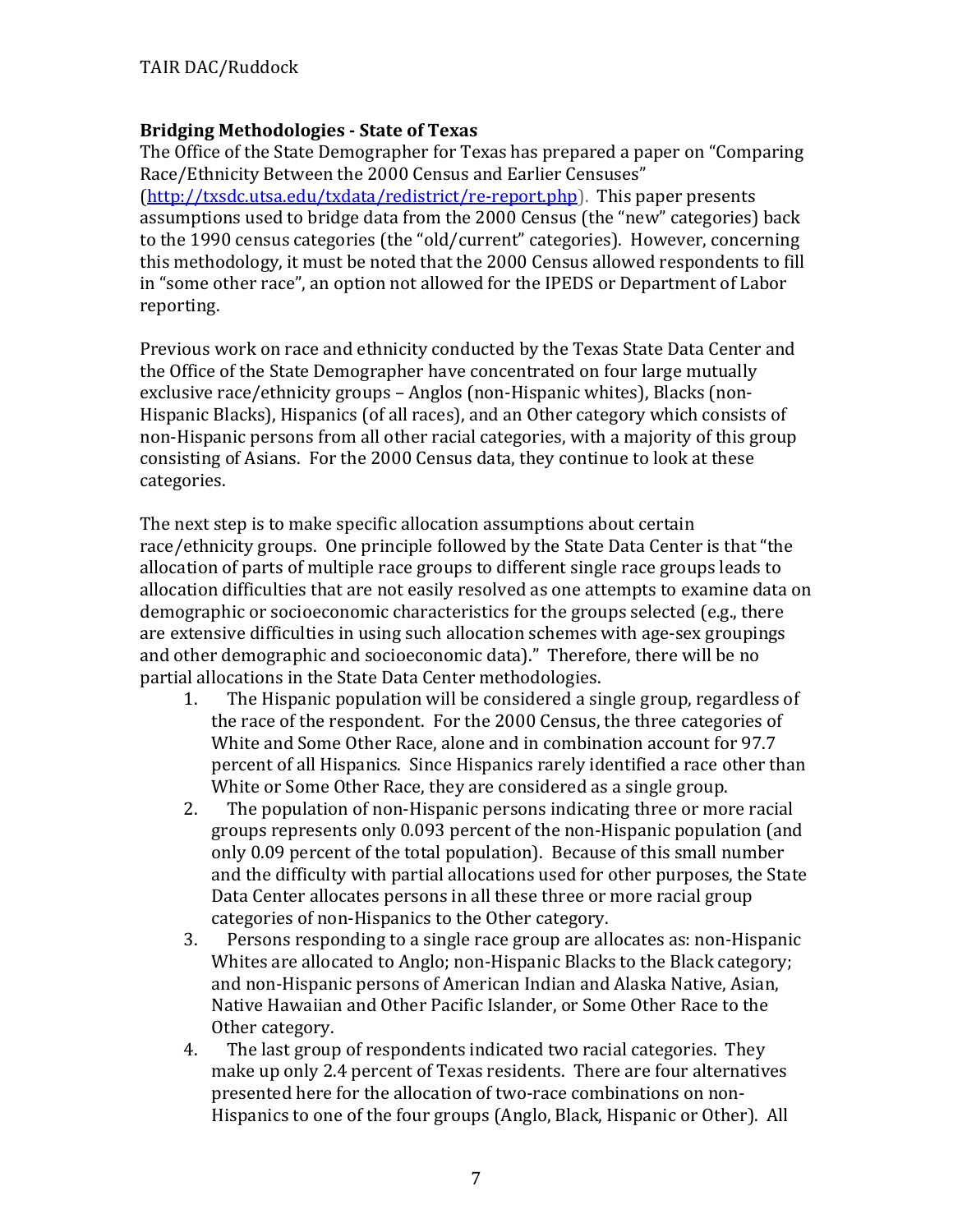#### **Bridging Methodologies State of Texas**

The Office of the State Demographer for Texas has prepared a paper on "Comparing Race/Ethnicity Between the 2000 Census and Earlier Censuses" (http://txsdc.utsa.edu/txdata/redistrict/re‐report.php). This paper presents assumptions used to bridge data from the 2000 Census (the "new" categories) back to the 1990 census categories (the "old/current" categories). However, concerning this methodology, it must be noted that the 2000 Census allowed respondents to fill in "some other race", an option not allowed for the IPEDS or Department of Labor reporting.

Previous work on race and ethnicity conducted by the Texas State Data Center and the Office of the State Demographer have concentrated on four large mutually exclusive race/ethnicity groups – Anglos (non‐Hispanic whites), Blacks (non‐ Hispanic Blacks), Hispanics (of all races), and an Other category which consists of non‐Hispanic persons from all other racial categories, with a majority of this group consisting of Asians. For the 2000 Census data, they continue to look at these categories.

The next step is to make specific allocation assumptions about certain race/ethnicity groups. One principle followed by the State Data Center is that "the allocation of parts of multiple race groups to different single race groups leads to allocation difficulties that are not easily resolved as one attempts to examine data on demographic or socioeconomic characteristics for the groups selected (e.g., there are extensive difficulties in using such allocation schemes with age-sex groupings and other demographic and socioeconomic data)." Therefore, there will be no partial allocations in the State Data Center methodologies.

- 1. The Hispanic population will be considered a single group, regardless of the race of the respondent. For the 2000 Census, the three categories of White and Some Other Race, alone and in combination account for 97.7 percent of all Hispanics. Since Hispanics rarely identified a race other than White or Some Other Race, they are considered as a single group.
- 2. The population of non-Hispanic persons indicating three or more racial groups represents only 0.093 percent of the non‐Hispanic population (and only 0.09 percent of the total population). Because of this small number and the difficulty with partial allocations used for other purposes, the State Data Center allocates persons in all these three or more racial group categories of non‐Hispanics to the Other category.
- 3. Persons responding to a single race group are allocates as: non‐Hispanic Whites are allocated to Anglo; non-Hispanic Blacks to the Black category; and non‐Hispanic persons of American Indian and Alaska Native, Asian, Native Hawaiian and Other Pacific Islander, or Some Other Race to the Other category.
- 4. The last group of respondents indicated two racial categories. They make up only 2.4 percent of Texas residents. There are four alternatives presented here for the allocation of two-race combinations on non-Hispanics to one of the four groups (Anglo, Black, Hispanic or Other). All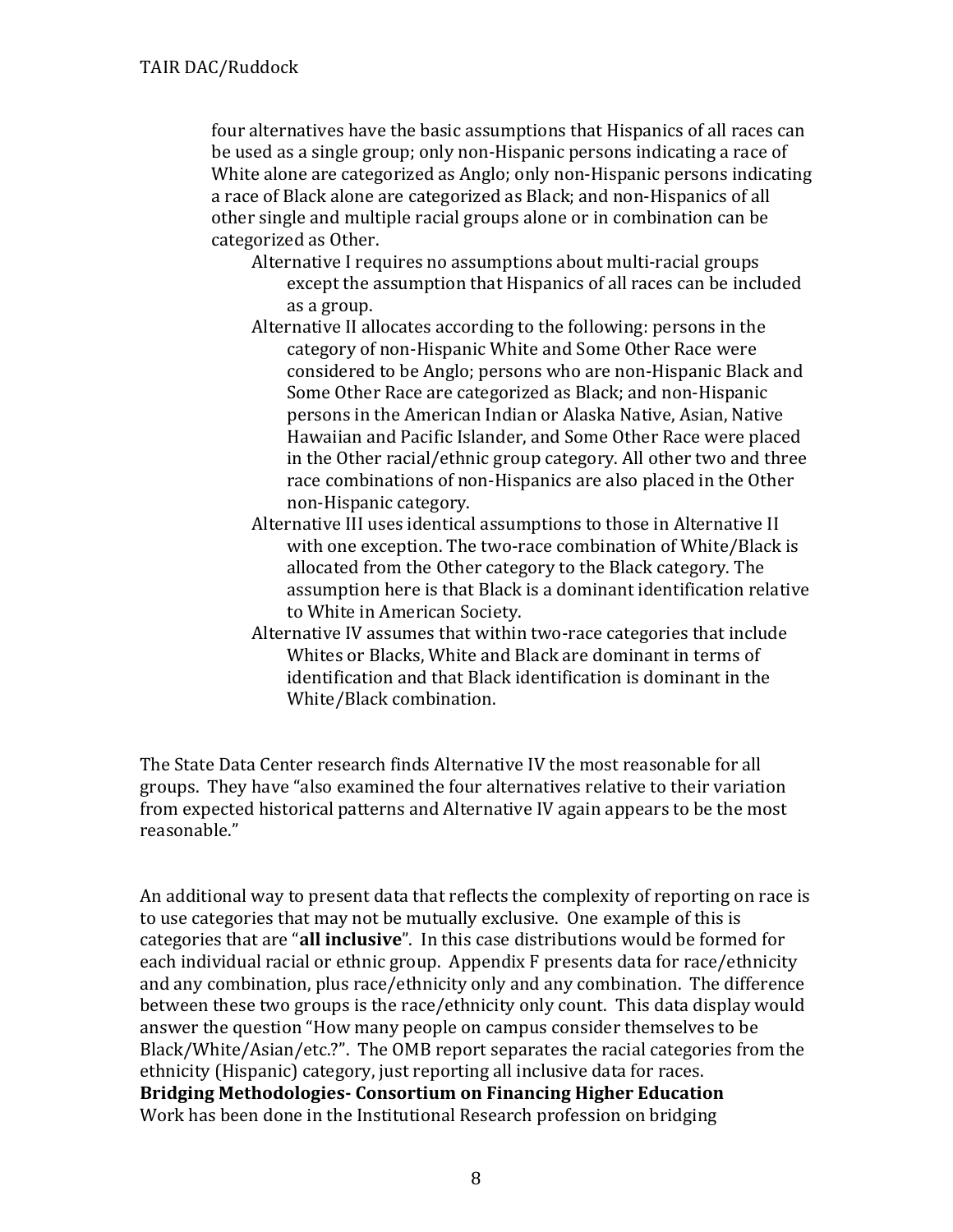four alternatives have the basic assumptions that Hispanics of all races can be used as a single group; only non-Hispanic persons indicating a race of White alone are categorized as Anglo; only non-Hispanic persons indicating a race of Black alone are categorized as Black; and non‐Hispanics of all other single and multiple racial groups alone or in combination can be categorized as Other.

- Alternative I requires no assumptions about multi‐racial groups except the assumption that Hispanics of all races can be included as a group.
- Alternative II allocates according to the following: persons in the category of non‐Hispanic White and Some Other Race were considered to be Anglo; persons who are non‐Hispanic Black and Some Other Race are categorized as Black; and non‐Hispanic persons in the American Indian or Alaska Native, Asian, Native Hawaiian and Pacific Islander, and Some Other Race were placed in the Other racial/ethnic group category. All other two and three race combinations of non-Hispanics are also placed in the Other non‐Hispanic category.
- Alternative III uses identical assumptions to those in Alternative II with one exception. The two-race combination of White/Black is allocated from the Other category to the Black category. The assumption here is that Black is a dominant identification relative to White in American Society.
- Alternative IV assumes that within two-race categories that include Whites or Blacks, White and Black are dominant in terms of identification and that Black identification is dominant in the White/Black combination.

The State Data Center research finds Alternative IV the most reasonable for all groups. They have "also examined the four alternatives relative to their variation from expected historical patterns and Alternative IV again appears to be the most reasonable."

An additional way to present data that reflects the complexity of reporting on race is to use categories that may not be mutually exclusive. One example of this is categories that are "**all inclusive**". In this case distributions would be formed for each individual racial or ethnic group. Appendix F presents data for race/ethnicity and any combination, plus race/ethnicity only and any combination. The difference between these two groups is the race/ethnicity only count. This data display would answer the question "How many people on campus consider themselves to be Black/White/Asian/etc.?". The OMB report separates the racial categories from the ethnicity (Hispanic) category, just reporting all inclusive data for races. **Bridging Methodologies Consortium on Financing Higher Education** Work has been done in the Institutional Research profession on bridging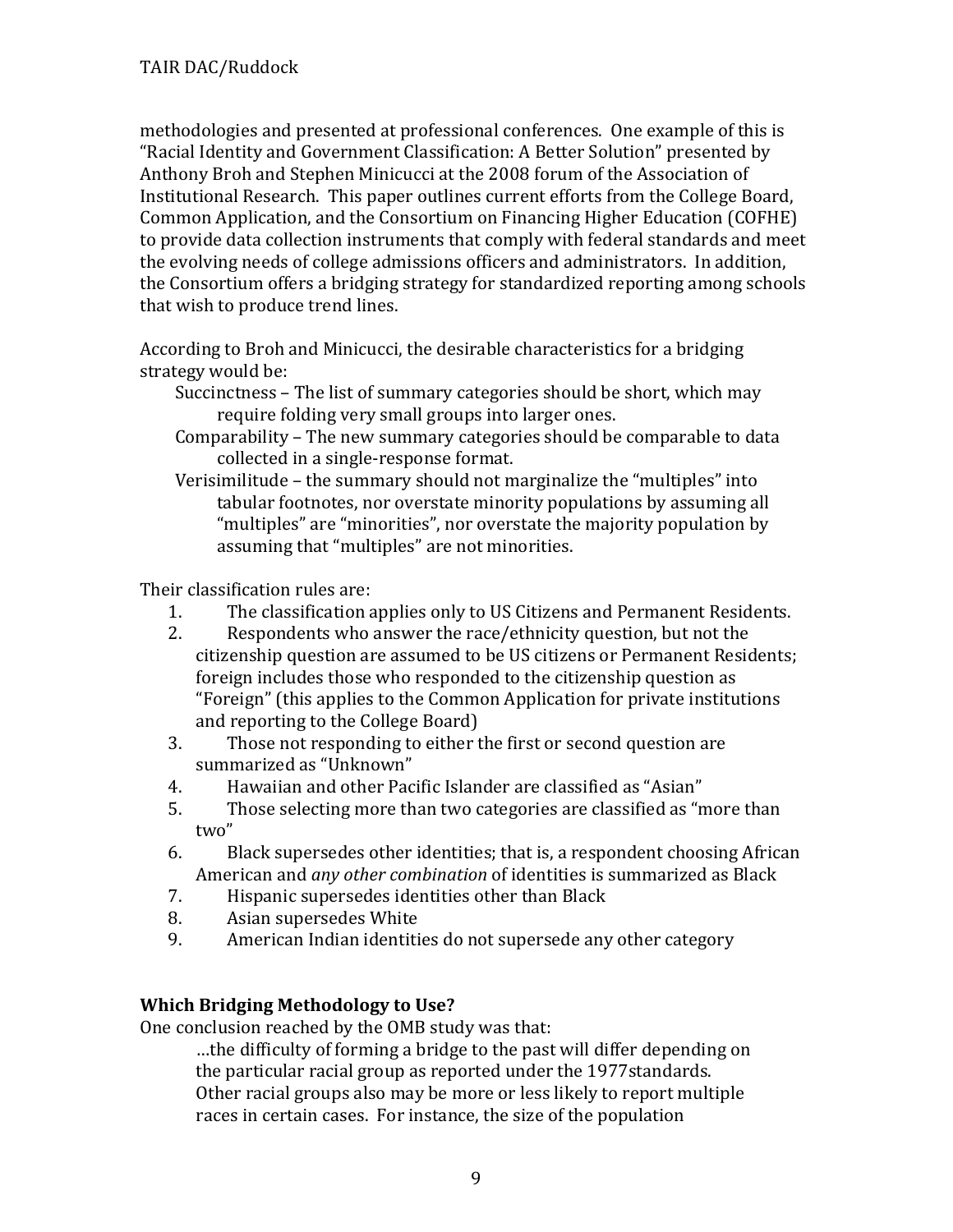methodologies and presented at professional conferences. One example of this is "Racial Identity and Government Classification: A Better Solution" presented by Anthony Broh and Stephen Minicucci at the 2008 forum of the Association of Institutional Research. This paper outlines current efforts from the College Board, Common Application, and the Consortium on Financing Higher Education (COFHE) to provide data collection instruments that comply with federal standards and meet the evolving needs of college admissions officers and administrators. In addition, the Consortium offers a bridging strategy for standardized reporting among schools that wish to produce trend lines.

According to Broh and Minicucci, the desirable characteristics for a bridging strategy would be:

- Succinctness The list of summary categories should be short, which may require folding very small groups into larger ones.
- Comparability The new summary categories should be comparable to data collected in a single‐response format.
- Verisimilitude the summary should not marginalize the "multiples" into tabular footnotes, nor overstate minority populations by assuming all "multiples" are "minorities", nor overstate the majority population by assuming that "multiples" are not minorities.

Their classification rules are:

- 1. The classification applies only to US Citizens and Permanent Residents.
- 2. Respondents who answer the race/ethnicity question, but not the citizenship question are assumed to be US citizens or Permanent Residents; foreign includes those who responded to the citizenship question as "Foreign" (this applies to the Common Application for private institutions and reporting to the College Board)
- 3. Those not responding to either the first or second question are summarized as "Unknown"
- 4. Hawaiian and other Pacific Islander are classified as "Asian"
- 5. Those selecting more than two categories are classified as "more than two"
- 6. Black supersedes other identities; that is, a respondent choosing African American and *any other combination* of identities is summarized as Black
- 7. Hispanic supersedes identities other than Black
- 8. Asian supersedes White
- 9. American Indian identities do not supersede any other category

# **Which Bridging Methodology to Use?**

One conclusion reached by the OMB study was that:

…the difficulty of forming a bridge to the past will differ depending on the particular racial group as reported under the 1977standards. Other racial groups also may be more or less likely to report multiple races in certain cases. For instance, the size of the population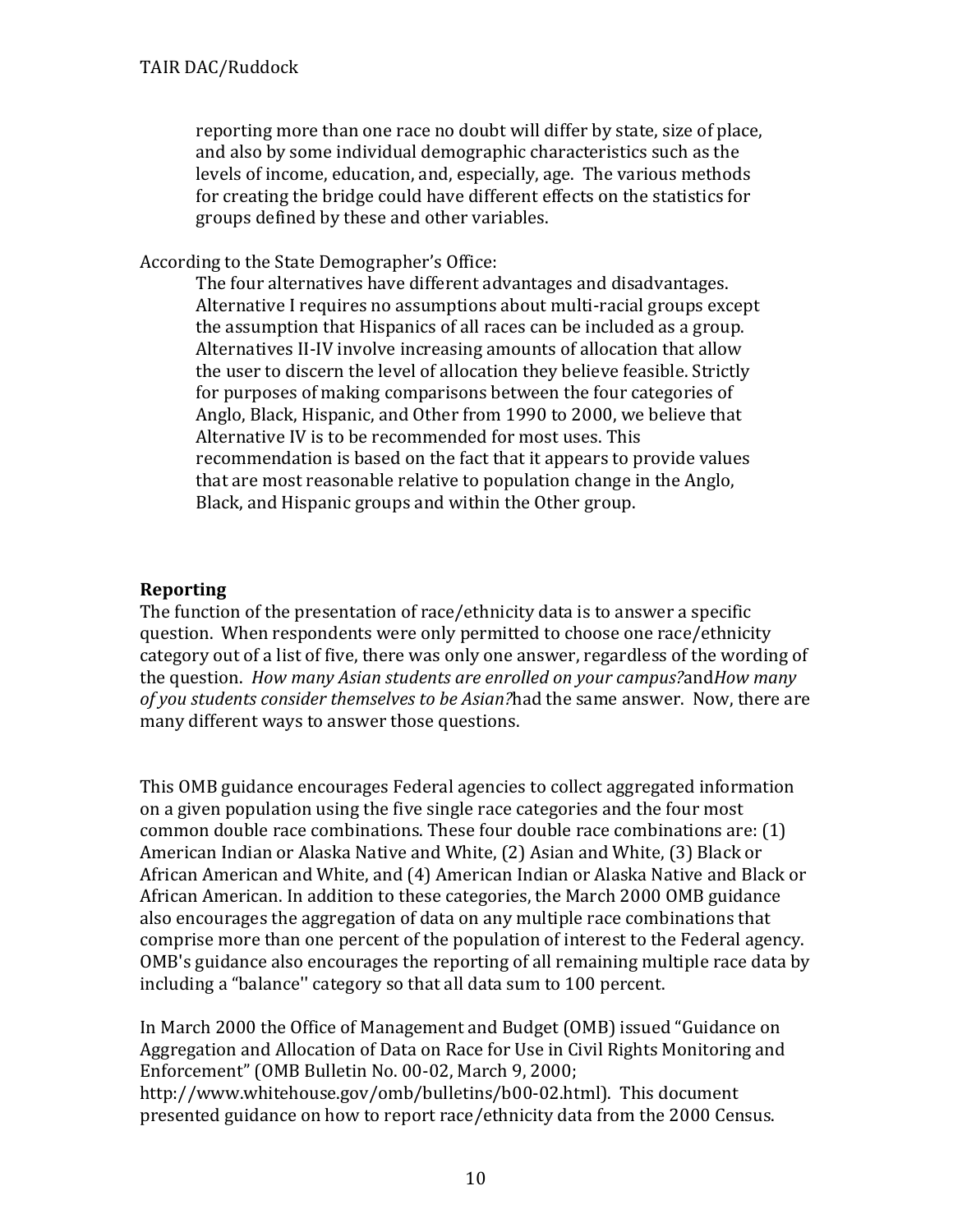reporting more than one race no doubt will differ by state, size of place, and also by some individual demographic characteristics such as the levels of income, education, and, especially, age. The various methods for creating the bridge could have different effects on the statistics for groups defined by these and other variables.

According to the State Demographer's Office:

The four alternatives have different advantages and disadvantages. Alternative I requires no assumptions about multi‐racial groups except the assumption that Hispanics of all races can be included as a group. Alternatives II‐IV involve increasing amounts of allocation that allow the user to discern the level of allocation they believe feasible. Strictly for purposes of making comparisons between the four categories of Anglo, Black, Hispanic, and Other from 1990 to 2000, we believe that Alternative IV is to be recommended for most uses. This recommendation is based on the fact that it appears to provide values that are most reasonable relative to population change in the Anglo, Black, and Hispanic groups and within the Other group.

#### **Reporting**

The function of the presentation of race/ethnicity data is to answer a specific question. When respondents were only permitted to choose one race/ethnicity category out of a list of five, there was only one answer, regardless of the wording of the question. *How many Asian students are enrolled on your campus?*and*How many of you students consider themselves to be Asian?*had the same answer. Now, there are many different ways to answer those questions.

This OMB guidance encourages Federal agencies to collect aggregated information on a given population using the five single race categories and the four most common double race combinations. These four double race combinations are: (1) American Indian or Alaska Native and White, (2) Asian and White, (3) Black or African American and White, and (4) American Indian or Alaska Native and Black or African American. In addition to these categories, the March 2000 OMB guidance also encourages the aggregation of data on any multiple race combinations that comprise more than one percent of the population of interest to the Federal agency. OMB's guidance also encourages the reporting of all remaining multiple race data by including a "balance'' category so that all data sum to 100 percent.

In March 2000 the Office of Management and Budget (OMB) issued "Guidance on Aggregation and Allocation of Data on Race for Use in Civil Rights Monitoring and Enforcement" (OMB Bulletin No. 00‐02, March 9, 2000; http://www.whitehouse.gov/omb/bulletins/b00‐02.html). This document presented guidance on how to report race/ethnicity data from the 2000 Census.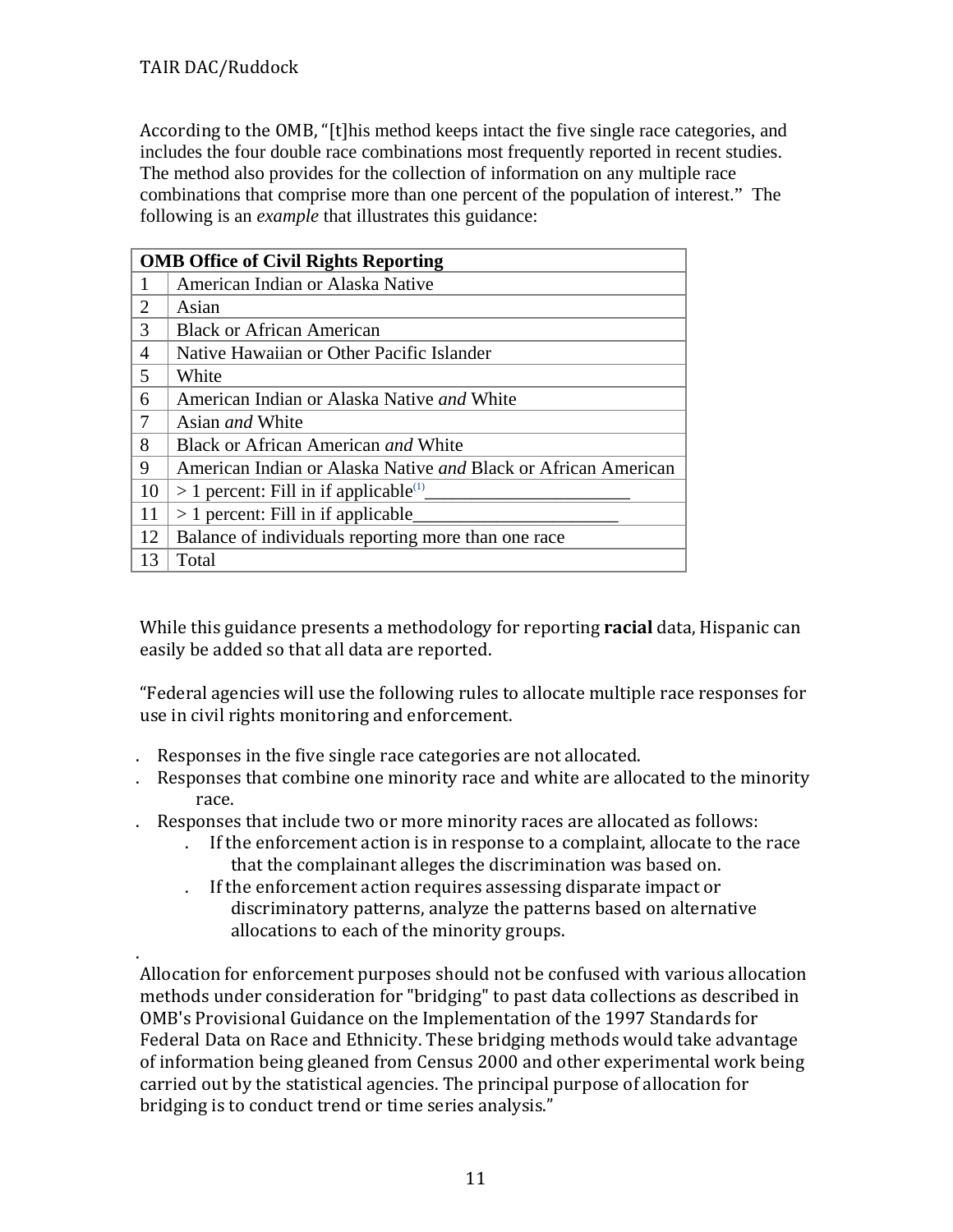According to the OMB, "[t]his method keeps intact the five single race categories, and includes the four double race combinations most frequently reported in recent studies. The method also provides for the collection of information on any multiple race combinations that comprise more than one percent of the population of interest." The following is an *example* that illustrates this guidance:

|        | <b>OMB Office of Civil Rights Reporting</b>                           |
|--------|-----------------------------------------------------------------------|
|        | American Indian or Alaska Native                                      |
| 2      | Asian                                                                 |
| 3      | <b>Black or African American</b>                                      |
| 4      | Native Hawaiian or Other Pacific Islander                             |
| 5      | White                                                                 |
| 6      | American Indian or Alaska Native and White                            |
| $\tau$ | Asian <i>and</i> White                                                |
| 8      | Black or African American <i>and</i> White                            |
| 9      | American Indian or Alaska Native <i>and</i> Black or African American |
| 10     | $>1$ percent: Fill in if applicable <sup>(1)</sup>                    |
| 11     | $> 1$ percent: Fill in if applicable                                  |
| 12     | Balance of individuals reporting more than one race                   |
| 13     | Total                                                                 |

While this guidance presents a methodology for reporting **racial** data, Hispanic can easily be added so that all data are reported.

"Federal agencies will use the following rules to allocate multiple race responses for use in civil rights monitoring and enforcement.

- . Responses in the five single race categories are not allocated.
- . Responses that combine one minority race and white are allocated to the minority race.
- . Responses that include two or more minority races are allocated as follows:
	- . If the enforcement action is in response to a complaint, allocate to the race that the complainant alleges the discrimination was based on.
	- . If the enforcement action requires assessing disparate impact or discriminatory patterns, analyze the patterns based on alternative allocations to each of the minority groups.

 . Allocation for enforcement purposes should not be confused with various allocation methods under consideration for "bridging" to past data collections as described in OMB's Provisional Guidance on the Implementation of the 1997 Standards for Federal Data on Race and Ethnicity. These bridging methods would take advantage of information being gleaned from Census 2000 and other experimental work being carried out by the statistical agencies. The principal purpose of allocation for bridging is to conduct trend or time series analysis."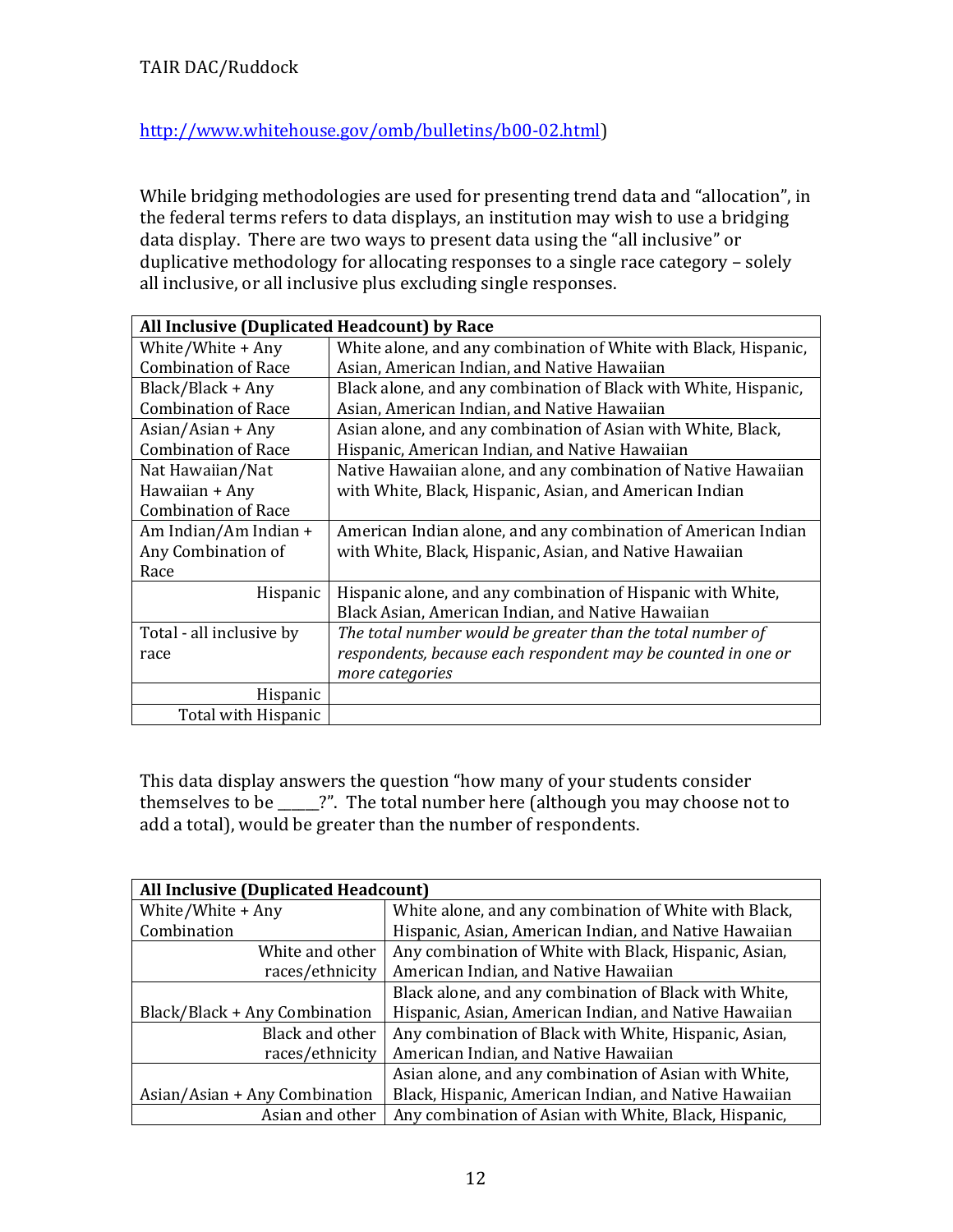# TAIR DAC/Ruddock

# http://www.whitehouse.gov/omb/bulletins/b00‐02.html)

While bridging methodologies are used for presenting trend data and "allocation", in the federal terms refers to data displays, an institution may wish to use a bridging data display. There are two ways to present data using the "all inclusive" or duplicative methodology for allocating responses to a single race category – solely all inclusive, or all inclusive plus excluding single responses.

|                                          | All Inclusive (Duplicated Headcount) by Race                    |  |  |  |  |
|------------------------------------------|-----------------------------------------------------------------|--|--|--|--|
| White/White + Any                        | White alone, and any combination of White with Black, Hispanic, |  |  |  |  |
| <b>Combination of Race</b>               | Asian, American Indian, and Native Hawaiian                     |  |  |  |  |
| Black/Black + Any                        | Black alone, and any combination of Black with White, Hispanic, |  |  |  |  |
| <b>Combination of Race</b>               | Asian, American Indian, and Native Hawaiian                     |  |  |  |  |
| $\text{Asian}/\text{Asian} + \text{Any}$ | Asian alone, and any combination of Asian with White, Black,    |  |  |  |  |
| <b>Combination of Race</b>               | Hispanic, American Indian, and Native Hawaiian                  |  |  |  |  |
| Nat Hawaiian/Nat                         | Native Hawaiian alone, and any combination of Native Hawaiian   |  |  |  |  |
| Hawaiian + Any                           | with White, Black, Hispanic, Asian, and American Indian         |  |  |  |  |
| <b>Combination of Race</b>               |                                                                 |  |  |  |  |
| Am Indian/Am Indian +                    | American Indian alone, and any combination of American Indian   |  |  |  |  |
| Any Combination of                       | with White, Black, Hispanic, Asian, and Native Hawaiian         |  |  |  |  |
| Race                                     |                                                                 |  |  |  |  |
| Hispanic                                 | Hispanic alone, and any combination of Hispanic with White,     |  |  |  |  |
|                                          | Black Asian, American Indian, and Native Hawaiian               |  |  |  |  |
| Total - all inclusive by                 | The total number would be greater than the total number of      |  |  |  |  |
| race                                     | respondents, because each respondent may be counted in one or   |  |  |  |  |
|                                          | more categories                                                 |  |  |  |  |
| <b>Hispanic</b>                          |                                                                 |  |  |  |  |
| Total with Hispanic                      |                                                                 |  |  |  |  |

This data display answers the question "how many of your students consider themselves to be \_\_\_\_\_\_?". The total number here (although you may choose not to add a total), would be greater than the number of respondents.

| <b>All Inclusive (Duplicated Headcount)</b> |                                                       |  |  |  |
|---------------------------------------------|-------------------------------------------------------|--|--|--|
| White/White + Any                           | White alone, and any combination of White with Black, |  |  |  |
| Combination                                 | Hispanic, Asian, American Indian, and Native Hawaiian |  |  |  |
| White and other                             | Any combination of White with Black, Hispanic, Asian, |  |  |  |
| races/ethnicity                             | American Indian, and Native Hawaiian                  |  |  |  |
|                                             | Black alone, and any combination of Black with White, |  |  |  |
| Black/Black + Any Combination               | Hispanic, Asian, American Indian, and Native Hawaiian |  |  |  |
| Black and other                             | Any combination of Black with White, Hispanic, Asian, |  |  |  |
| races/ethnicity                             | American Indian, and Native Hawaiian                  |  |  |  |
|                                             | Asian alone, and any combination of Asian with White, |  |  |  |
| Asian/Asian + Any Combination               | Black, Hispanic, American Indian, and Native Hawaiian |  |  |  |
| Asian and other                             | Any combination of Asian with White, Black, Hispanic, |  |  |  |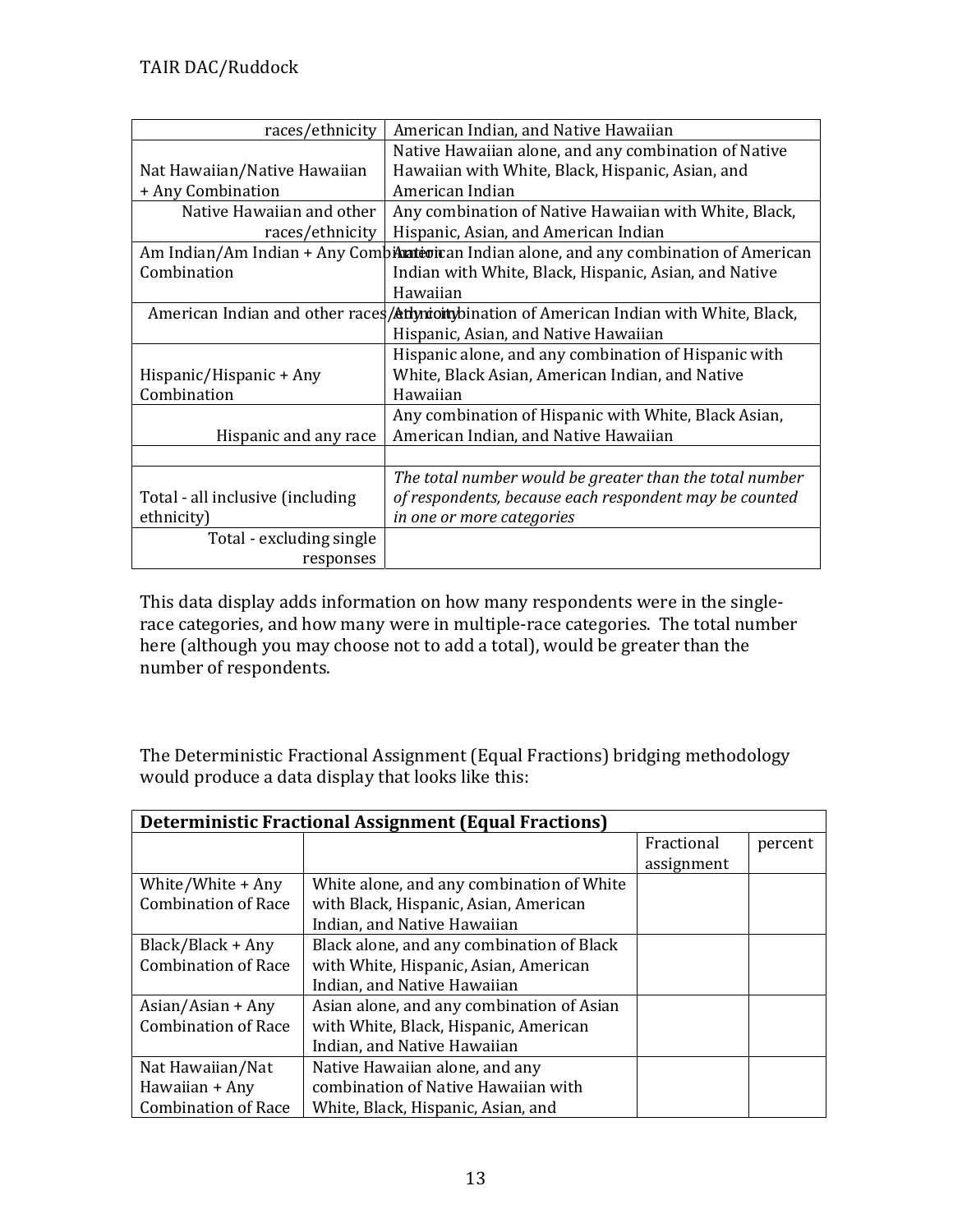| races/ethnicity                  | American Indian, and Native Hawaiian                                                      |
|----------------------------------|-------------------------------------------------------------------------------------------|
|                                  | Native Hawaiian alone, and any combination of Native                                      |
| Nat Hawaiian/Native Hawaiian     | Hawaiian with White, Black, Hispanic, Asian, and                                          |
| + Any Combination                | American Indian                                                                           |
| Native Hawaiian and other        | Any combination of Native Hawaiian with White, Black,                                     |
| races/ethnicity                  | Hispanic, Asian, and American Indian                                                      |
|                                  | Am Indian/Am Indian + Any Combianterian Indian alone, and any combination of American     |
| Combination                      | Indian with White, Black, Hispanic, Asian, and Native                                     |
|                                  | Hawaiian                                                                                  |
|                                  | American Indian and other races/Athynioiny bination of American Indian with White, Black, |
|                                  | Hispanic, Asian, and Native Hawaiian                                                      |
|                                  | Hispanic alone, and any combination of Hispanic with                                      |
| Hispanic/Hispanic + Any          | White, Black Asian, American Indian, and Native                                           |
| Combination                      | Hawaiian                                                                                  |
|                                  | Any combination of Hispanic with White, Black Asian,                                      |
| Hispanic and any race            | American Indian, and Native Hawaiian                                                      |
|                                  |                                                                                           |
|                                  | The total number would be greater than the total number                                   |
| Total - all inclusive (including | of respondents, because each respondent may be counted                                    |
| ethnicity)                       | in one or more categories                                                                 |
| Total - excluding single         |                                                                                           |
| responses                        |                                                                                           |

This data display adds information on how many respondents were in the single‐ race categories, and how many were in multiple‐race categories. The total number here (although you may choose not to add a total), would be greater than the number of respondents.

The Deterministic Fractional Assignment (Equal Fractions) bridging methodology would produce a data display that looks like this:

| <b>Deterministic Fractional Assignment (Equal Fractions)</b> |                                           |            |         |  |  |  |
|--------------------------------------------------------------|-------------------------------------------|------------|---------|--|--|--|
|                                                              |                                           | Fractional | percent |  |  |  |
|                                                              |                                           | assignment |         |  |  |  |
| White/White + Any                                            | White alone, and any combination of White |            |         |  |  |  |
| <b>Combination of Race</b>                                   | with Black, Hispanic, Asian, American     |            |         |  |  |  |
|                                                              | Indian, and Native Hawaiian               |            |         |  |  |  |
| Black/Black + Any                                            | Black alone, and any combination of Black |            |         |  |  |  |
| <b>Combination of Race</b>                                   | with White, Hispanic, Asian, American     |            |         |  |  |  |
|                                                              | Indian, and Native Hawaiian               |            |         |  |  |  |
| $\text{Asian}/\text{Asian} + \text{Any}$                     | Asian alone, and any combination of Asian |            |         |  |  |  |
| <b>Combination of Race</b>                                   | with White, Black, Hispanic, American     |            |         |  |  |  |
|                                                              | Indian, and Native Hawaiian               |            |         |  |  |  |
| Nat Hawaiian/Nat                                             | Native Hawaiian alone, and any            |            |         |  |  |  |
| Hawaiian + Any                                               | combination of Native Hawaiian with       |            |         |  |  |  |
| <b>Combination of Race</b>                                   | White, Black, Hispanic, Asian, and        |            |         |  |  |  |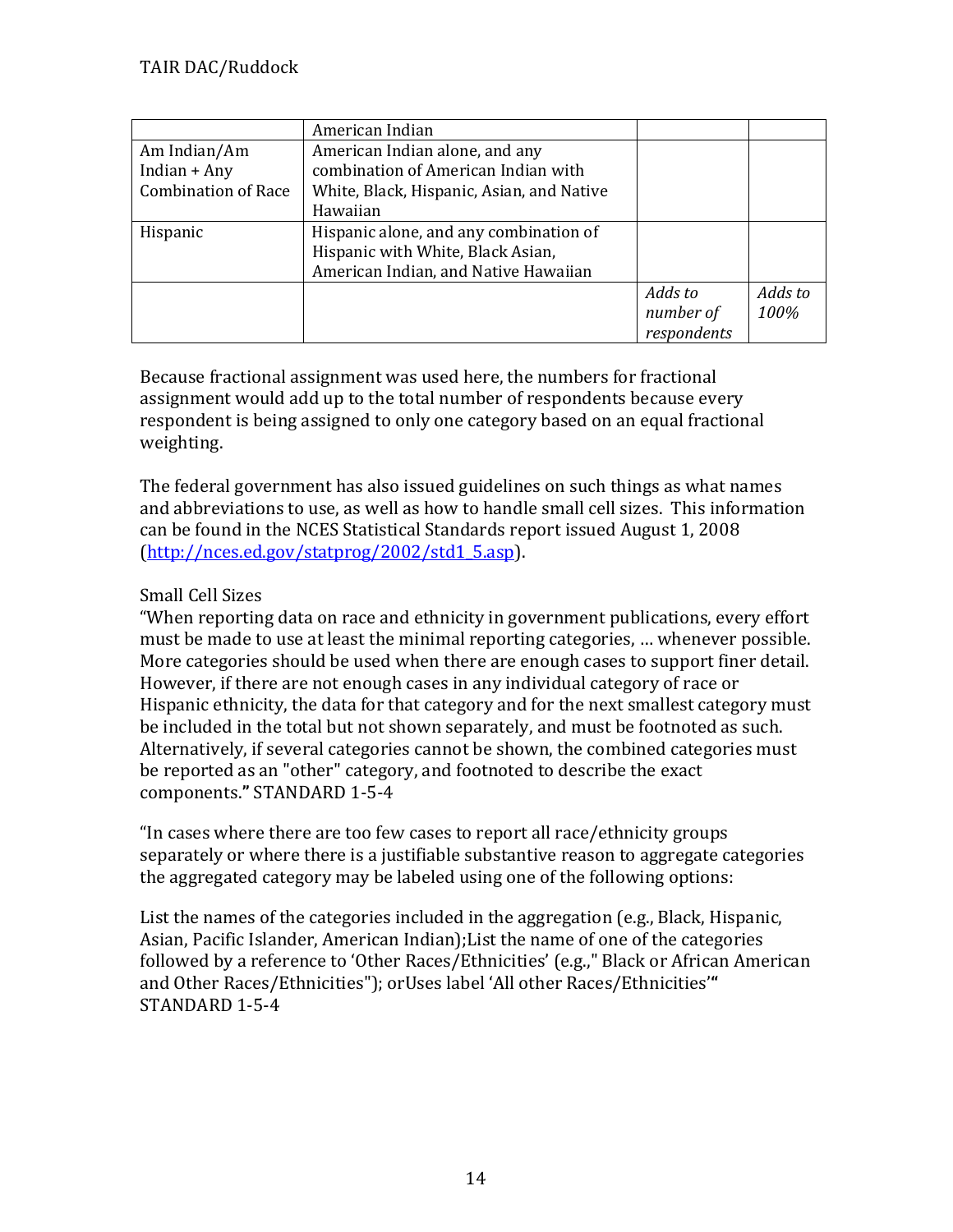|                            | American Indian                           |             |         |
|----------------------------|-------------------------------------------|-------------|---------|
| Am Indian/Am               | American Indian alone, and any            |             |         |
| Indian $+$ Any             | combination of American Indian with       |             |         |
| <b>Combination of Race</b> | White, Black, Hispanic, Asian, and Native |             |         |
|                            | Hawaiian                                  |             |         |
| Hispanic                   | Hispanic alone, and any combination of    |             |         |
|                            | Hispanic with White, Black Asian,         |             |         |
|                            | American Indian, and Native Hawaiian      |             |         |
|                            |                                           | Adds to     | Adds to |
|                            |                                           | number of   | 100%    |
|                            |                                           | respondents |         |

Because fractional assignment was used here, the numbers for fractional assignment would add up to the total number of respondents because every respondent is being assigned to only one category based on an equal fractional weighting.

The federal government has also issued guidelines on such things as what names and abbreviations to use, as well as how to handle small cell sizes. This information can be found in the NCES Statistical Standards report issued August 1, 2008 (http://nces.ed.gov/statprog/2002/std1\_5.asp).

# Small Cell Sizes

"When reporting data on race and ethnicity in government publications, every effort must be made to use at least the minimal reporting categories, … whenever possible. More categories should be used when there are enough cases to support finer detail. However, if there are not enough cases in any individual category of race or Hispanic ethnicity, the data for that category and for the next smallest category must be included in the total but not shown separately, and must be footnoted as such. Alternatively, if several categories cannot be shown, the combined categories must be reported as an "other" category, and footnoted to describe the exact components.**"** STANDARD 1‐5‐4

"In cases where there are too few cases to report all race/ethnicity groups separately or where there is a justifiable substantive reason to aggregate categories the aggregated category may be labeled using one of the following options:

List the names of the categories included in the aggregation (e.g., Black, Hispanic, Asian, Pacific Islander, American Indian);List the name of one of the categories followed by a reference to 'Other Races/Ethnicities' (e.g.," Black or African American and Other Races/Ethnicities"); orUses label 'All other Races/Ethnicities'**"** STANDARD 1‐5‐4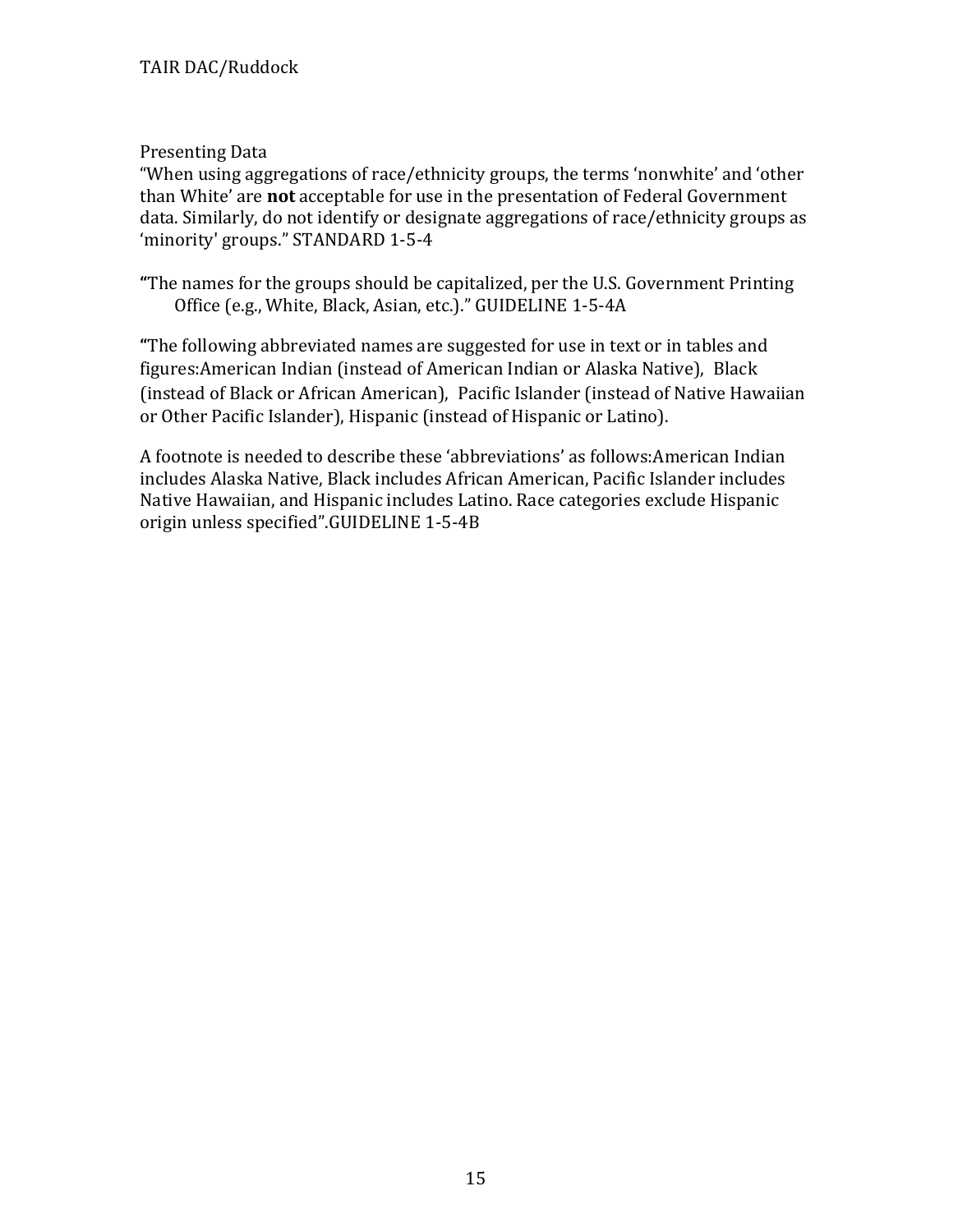Presenting Data

"When using aggregations of race/ethnicity groups, the terms 'nonwhite' and 'other than White' are **not** acceptable for use in the presentation of Federal Government data. Similarly, do not identify or designate aggregations of race/ethnicity groups as 'minority' groups." STANDARD 1‐5‐4

**"**The names for the groups should be capitalized, per the U.S. Government Printing Office (e.g., White, Black, Asian, etc.)." GUIDELINE 1‐5‐4A

**"**The following abbreviated names are suggested for use in text or in tables and figures:American Indian (instead of American Indian or Alaska Native), Black (instead of Black or African American), Pacific Islander (instead of Native Hawaiian or Other Pacific Islander), Hispanic (instead of Hispanic or Latino).

A footnote is needed to describe these 'abbreviations' as follows:American Indian includes Alaska Native, Black includes African American, Pacific Islander includes Native Hawaiian, and Hispanic includes Latino. Race categories exclude Hispanic origin unless specified".GUIDELINE 1‐5‐4B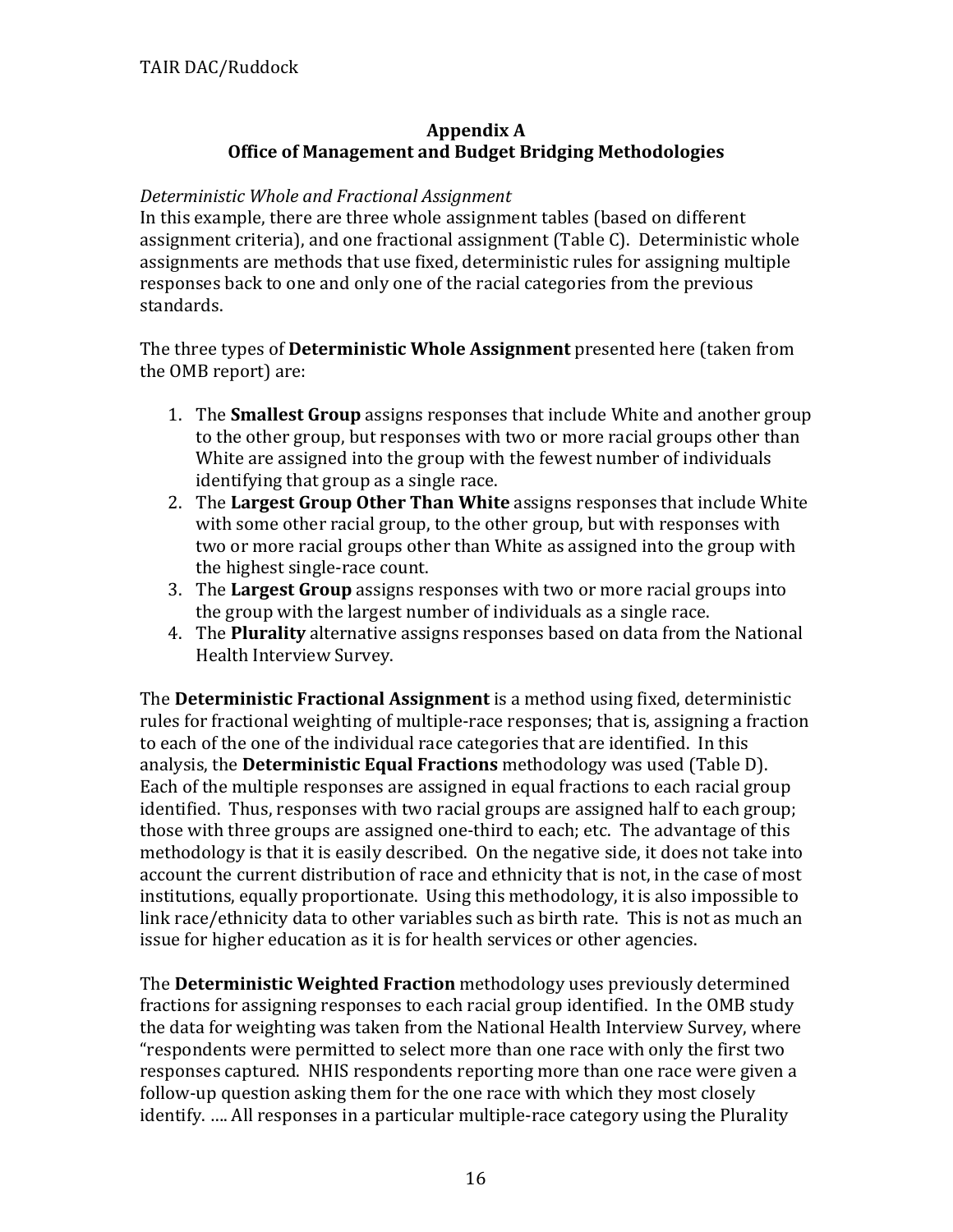# **Appendix A Office of Management and Budget Bridging Methodologies**

#### *Deterministic Whole and Fractional Assignment*

In this example, there are three whole assignment tables (based on different assignment criteria), and one fractional assignment (Table C). Deterministic whole assignments are methods that use fixed, deterministic rules for assigning multiple responses back to one and only one of the racial categories from the previous standards.

The three types of **Deterministic Whole Assignment** presented here (taken from the OMB report) are:

- 1. The **Smallest Group** assigns responses that include White and another group to the other group, but responses with two or more racial groups other than White are assigned into the group with the fewest number of individuals identifying that group as a single race.
- 2. The **Largest Group Other Than White** assigns responses that include White with some other racial group, to the other group, but with responses with two or more racial groups other than White as assigned into the group with the highest single‐race count.
- 3. The **Largest Group** assigns responses with two or more racial groups into the group with the largest number of individuals as a single race.
- 4. The **Plurality** alternative assigns responses based on data from the National Health Interview Survey.

The **Deterministic Fractional Assignment** is a method using fixed, deterministic rules for fractional weighting of multiple‐race responses; that is, assigning a fraction to each of the one of the individual race categories that are identified. In this analysis, the **Deterministic Equal Fractions** methodology was used (Table D). Each of the multiple responses are assigned in equal fractions to each racial group identified. Thus, responses with two racial groups are assigned half to each group; those with three groups are assigned one‐third to each; etc. The advantage of this methodology is that it is easily described. On the negative side, it does not take into account the current distribution of race and ethnicity that is not, in the case of most institutions, equally proportionate. Using this methodology, it is also impossible to link race/ethnicity data to other variables such as birth rate. This is not as much an issue for higher education as it is for health services or other agencies.

The **Deterministic Weighted Fraction** methodology uses previously determined fractions for assigning responses to each racial group identified. In the OMB study the data for weighting was taken from the National Health Interview Survey, where "respondents were permitted to select more than one race with only the first two responses captured. NHIS respondents reporting more than one race were given a follow-up question asking them for the one race with which they most closely identify. …. All responses in a particular multiple‐race category using the Plurality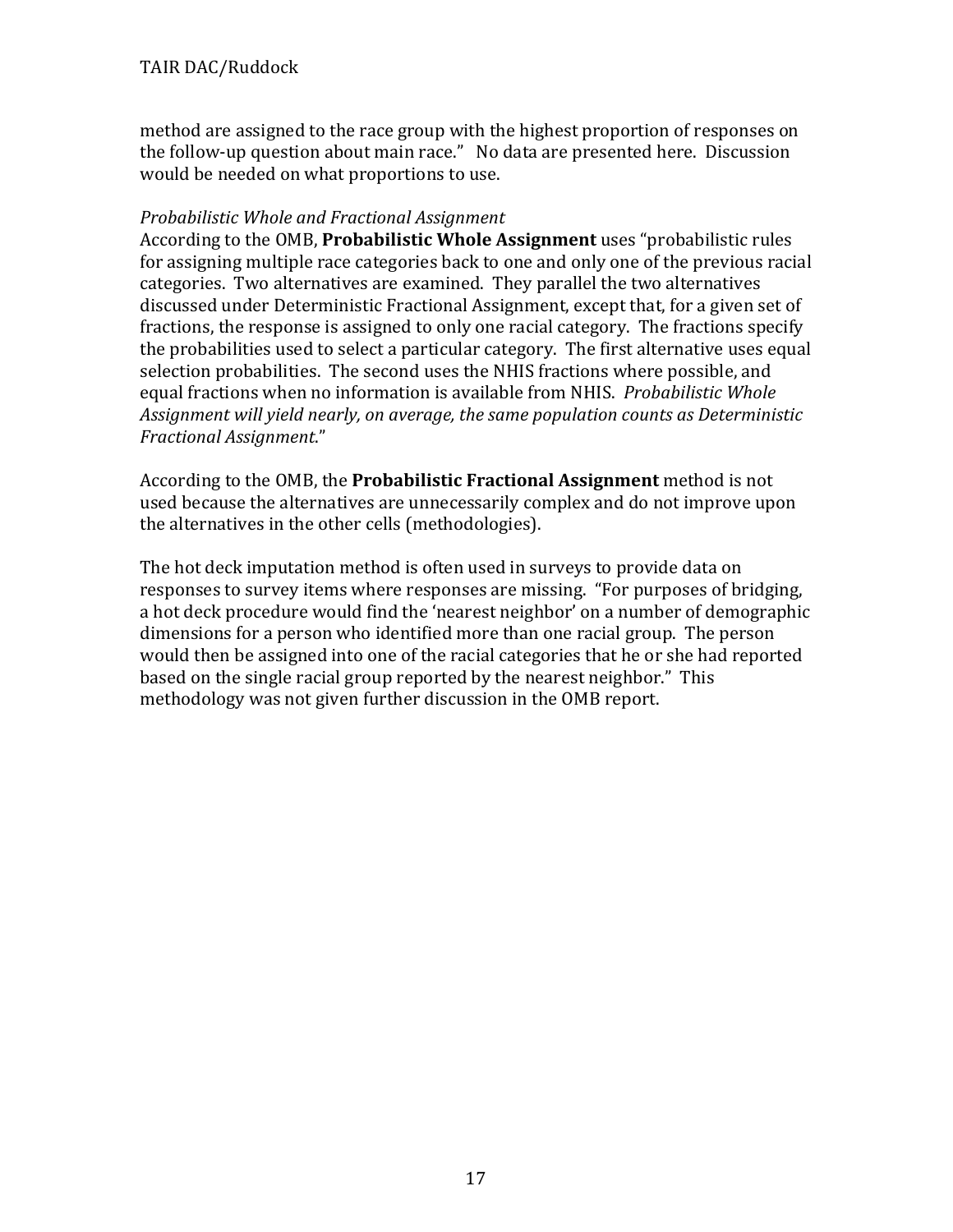method are assigned to the race group with the highest proportion of responses on the follow‐up question about main race." No data are presented here. Discussion would be needed on what proportions to use.

#### *Probabilistic Whole and Fractional Assignment*

According to the OMB, **Probabilistic Whole Assignment** uses "probabilistic rules for assigning multiple race categories back to one and only one of the previous racial categories. Two alternatives are examined. They parallel the two alternatives discussed under Deterministic Fractional Assignment, except that, for a given set of fractions, the response is assigned to only one racial category. The fractions specify the probabilities used to select a particular category. The first alternative uses equal selection probabilities. The second uses the NHIS fractions where possible, and equal fractions when no information is available from NHIS. *Probabilistic Whole Assignment will yield nearly, on average, the same population counts as Deterministic Fractional Assignment*."

According to the OMB, the **Probabilistic Fractional Assignment** method is not used because the alternatives are unnecessarily complex and do not improve upon the alternatives in the other cells (methodologies).

The hot deck imputation method is often used in surveys to provide data on responses to survey items where responses are missing. "For purposes of bridging, a hot deck procedure would find the 'nearest neighbor' on a number of demographic dimensions for a person who identified more than one racial group. The person would then be assigned into one of the racial categories that he or she had reported based on the single racial group reported by the nearest neighbor." This methodology was not given further discussion in the OMB report.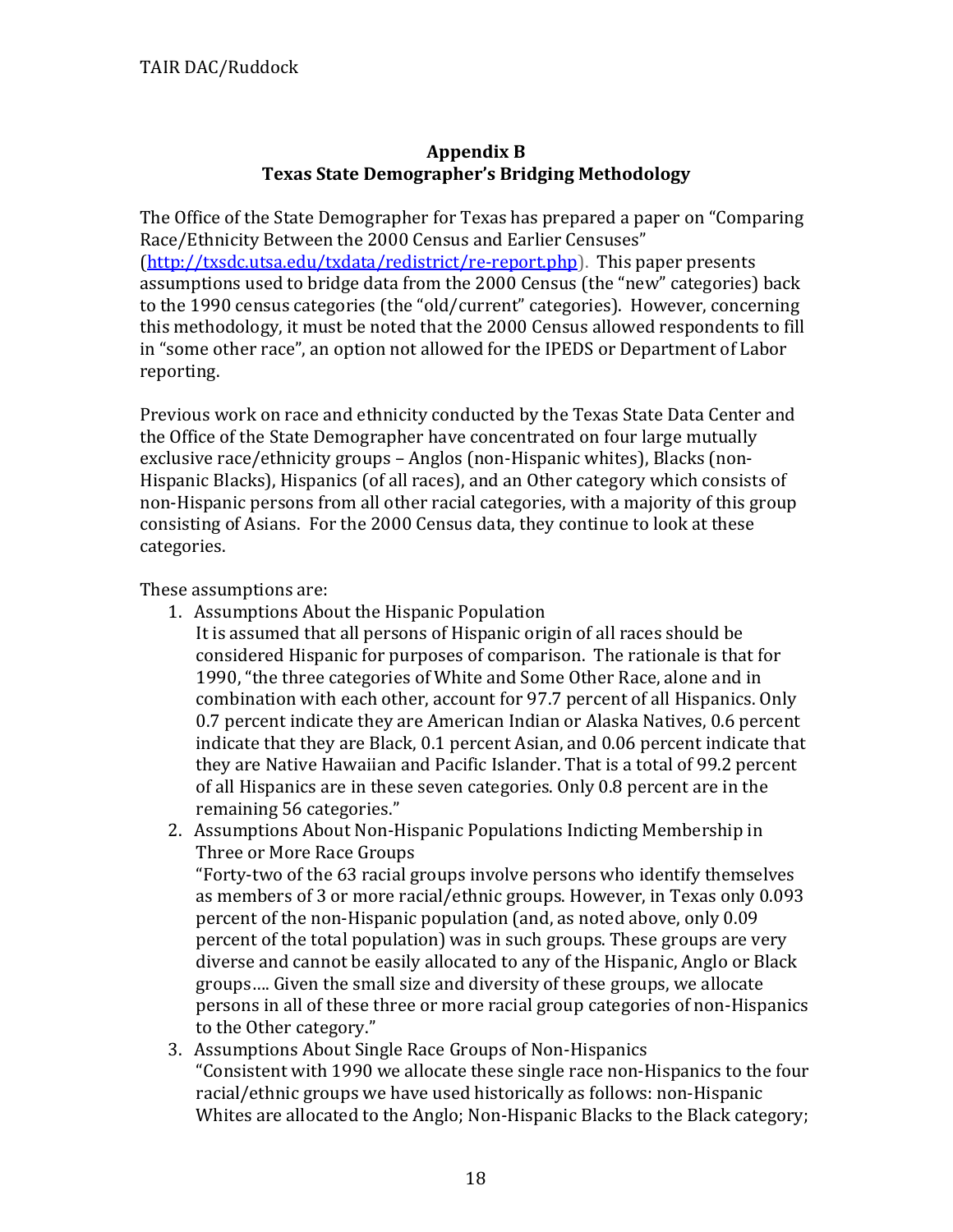#### **Appendix B Texas State Demographer's Bridging Methodology**

The Office of the State Demographer for Texas has prepared a paper on "Comparing Race/Ethnicity Between the 2000 Census and Earlier Censuses" (http://txsdc.utsa.edu/txdata/redistrict/re‐report.php). This paper presents assumptions used to bridge data from the 2000 Census (the "new" categories) back to the 1990 census categories (the "old/current" categories). However, concerning this methodology, it must be noted that the 2000 Census allowed respondents to fill in "some other race", an option not allowed for the IPEDS or Department of Labor reporting.

Previous work on race and ethnicity conducted by the Texas State Data Center and the Office of the State Demographer have concentrated on four large mutually exclusive race/ethnicity groups – Anglos (non‐Hispanic whites), Blacks (non‐ Hispanic Blacks), Hispanics (of all races), and an Other category which consists of non‐Hispanic persons from all other racial categories, with a majority of this group consisting of Asians. For the 2000 Census data, they continue to look at these categories.

These assumptions are:

- 1. Assumptions About the Hispanic Population
	- It is assumed that all persons of Hispanic origin of all races should be considered Hispanic for purposes of comparison. The rationale is that for 1990, "the three categories of White and Some Other Race, alone and in combination with each other, account for 97.7 percent of all Hispanics. Only 0.7 percent indicate they are American Indian or Alaska Natives, 0.6 percent indicate that they are Black, 0.1 percent Asian, and 0.06 percent indicate that they are Native Hawaiian and Pacific Islander. That is a total of 99.2 percent of all Hispanics are in these seven categories. Only 0.8 percent are in the remaining 56 categories."
- 2. Assumptions About Non-Hispanic Populations Indicting Membership in Three or More Race Groups

"Forty‐two of the 63 racial groups involve persons who identify themselves as members of 3 or more racial/ethnic groups. However, in Texas only 0.093 percent of the non‐Hispanic population (and, as noted above, only 0.09 percent of the total population) was in such groups. These groups are very diverse and cannot be easily allocated to any of the Hispanic, Anglo or Black groups…. Given the small size and diversity of these groups, we allocate persons in all of these three or more racial group categories of non‐Hispanics to the Other category."

3. Assumptions About Single Race Groups of Non‐Hispanics "Consistent with 1990 we allocate these single race non‐Hispanics to the four racial/ethnic groups we have used historically as follows: non‐Hispanic Whites are allocated to the Anglo; Non-Hispanic Blacks to the Black category;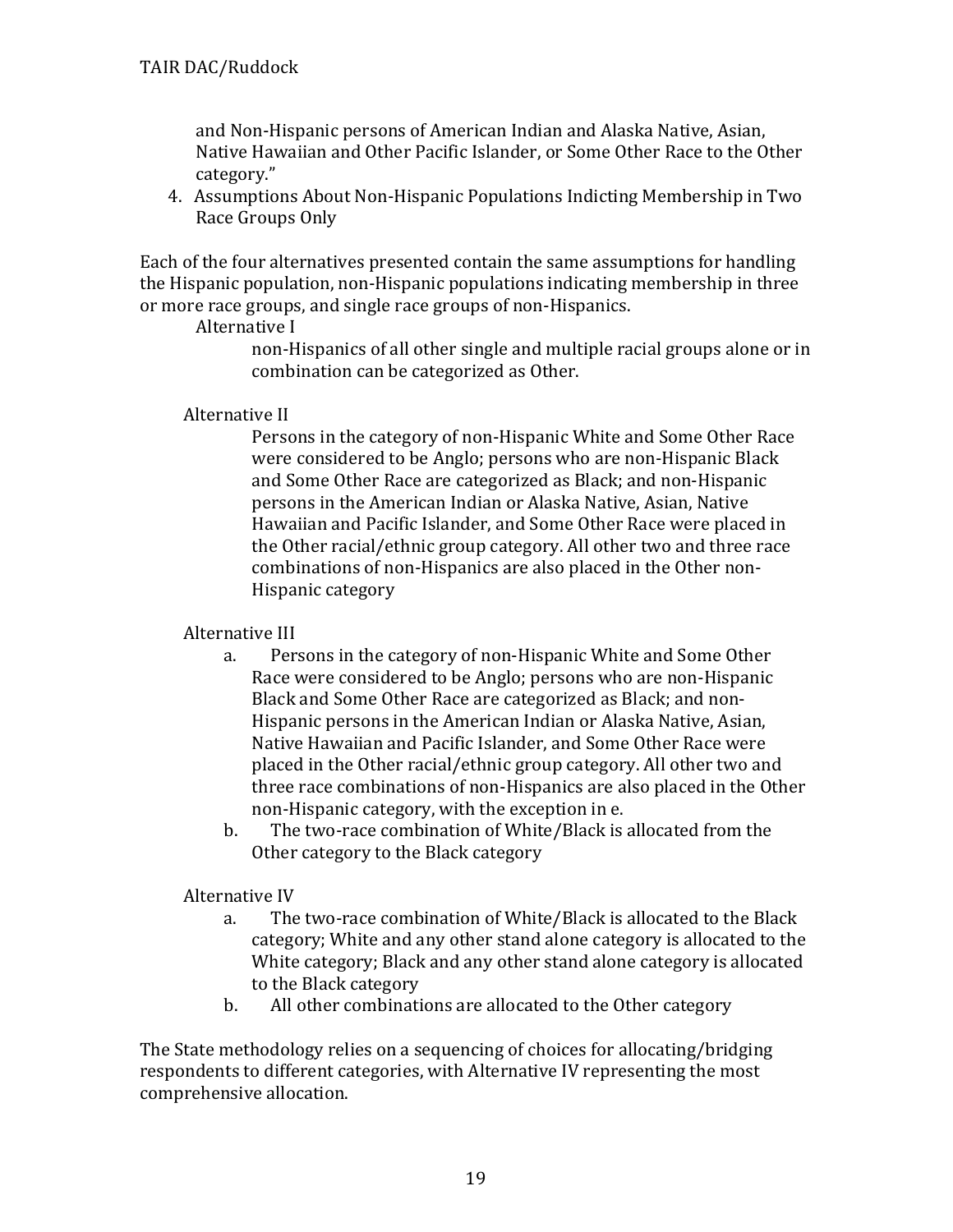and Non‐Hispanic persons of American Indian and Alaska Native, Asian, Native Hawaiian and Other Pacific Islander, or Some Other Race to the Other category."

4. Assumptions About Non‐Hispanic Populations Indicting Membership in Two Race Groups Only

Each of the four alternatives presented contain the same assumptions for handling the Hispanic population, non‐Hispanic populations indicating membership in three or more race groups, and single race groups of non‐Hispanics.

#### Alternative I

non‐Hispanics of all other single and multiple racial groups alone or in combination can be categorized as Other.

#### Alternative II

 Persons in the category of non‐Hispanic White and Some Other Race were considered to be Anglo; persons who are non-Hispanic Black and Some Other Race are categorized as Black; and non‐Hispanic persons in the American Indian or Alaska Native, Asian, Native Hawaiian and Pacific Islander, and Some Other Race were placed in the Other racial/ethnic group category. All other two and three race combinations of non-Hispanics are also placed in the Other non-Hispanic category

#### Alternative III

- a. Persons in the category of non‐Hispanic White and Some Other Race were considered to be Anglo; persons who are non‐Hispanic Black and Some Other Race are categorized as Black; and non‐ Hispanic persons in the American Indian or Alaska Native, Asian, Native Hawaiian and Pacific Islander, and Some Other Race were placed in the Other racial/ethnic group category. All other two and three race combinations of non‐Hispanics are also placed in the Other non‐Hispanic category, with the exception in e.
- b. The two‐race combination of White/Black is allocated from the Other category to the Black category

#### Alternative IV

- a. The two-race combination of White/Black is allocated to the Black category; White and any other stand alone category is allocated to the White category; Black and any other stand alone category is allocated to the Black category
- b. All other combinations are allocated to the Other category

The State methodology relies on a sequencing of choices for allocating/bridging respondents to different categories, with Alternative IV representing the most comprehensive allocation.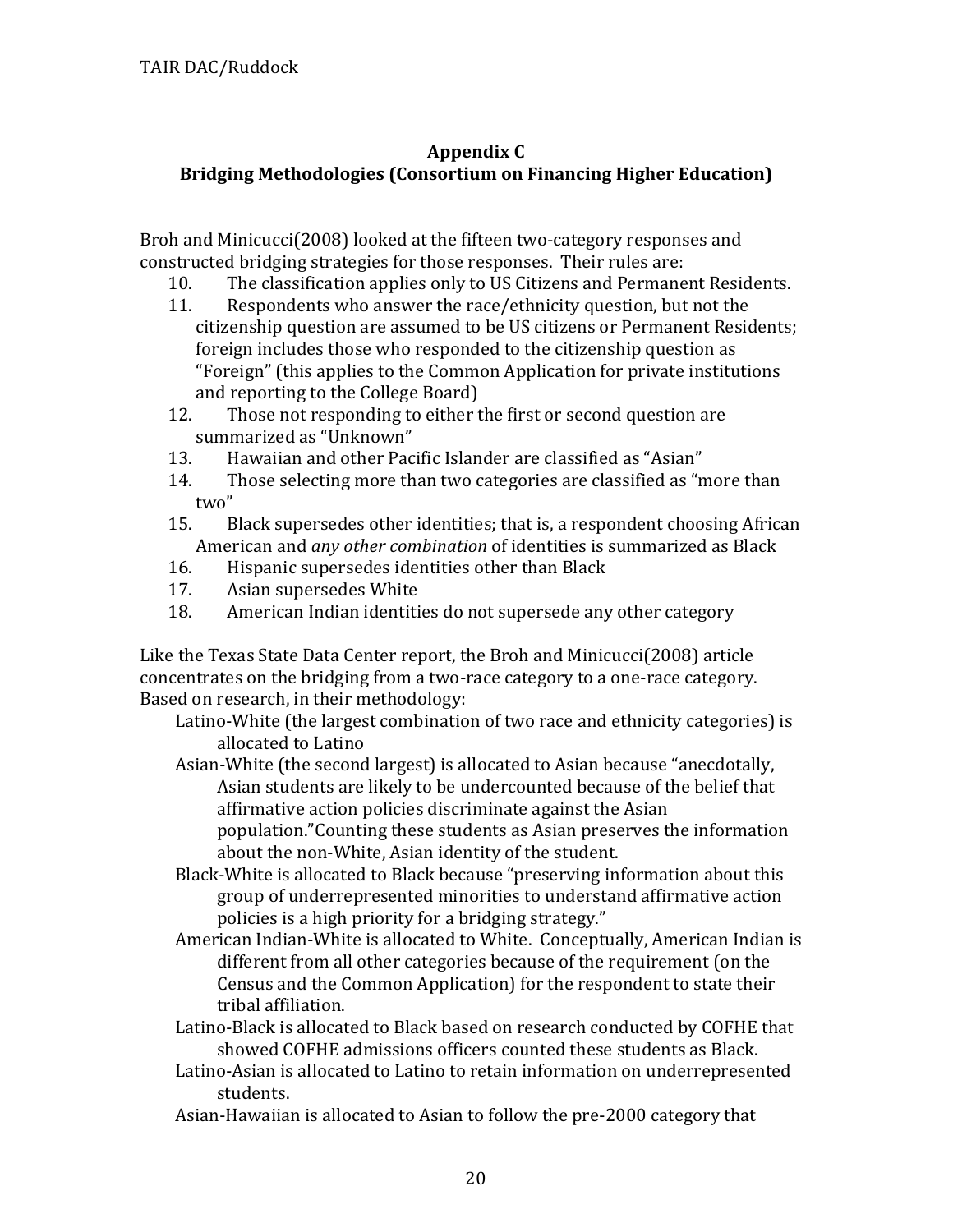# **Appendix C Bridging Methodologies (Consortium on Financing Higher Education)**

Broh and Minicucci(2008) looked at the fifteen two-category responses and constructed bridging strategies for those responses. Their rules are:

- 10. The classification applies only to US Citizens and Permanent Residents.
- 11. Respondents who answer the race/ethnicity question, but not the citizenship question are assumed to be US citizens or Permanent Residents; foreign includes those who responded to the citizenship question as "Foreign" (this applies to the Common Application for private institutions and reporting to the College Board)
- 12. Those not responding to either the first or second question are summarized as "Unknown"
- 13. Hawaiian and other Pacific Islander are classified as "Asian"
- 14. Those selecting more than two categories are classified as "more than two"
- 15. Black supersedes other identities; that is, a respondent choosing African American and *any other combination* of identities is summarized as Black
- 16. Hispanic supersedes identities other than Black
- 17. Asian supersedes White
- 18. American Indian identities do not supersede any other category

Like the Texas State Data Center report, the Broh and Minicucci(2008) article concentrates on the bridging from a two‐race category to a one‐race category. Based on research, in their methodology:

Latino-White (the largest combination of two race and ethnicity categories) is allocated to Latino

Asian‐White (the second largest) is allocated to Asian because "anecdotally, Asian students are likely to be undercounted because of the belief that affirmative action policies discriminate against the Asian population."Counting these students as Asian preserves the information about the non‐White, Asian identity of the student.

- Black‐White is allocated to Black because "preserving information about this group of underrepresented minorities to understand affirmative action policies is a high priority for a bridging strategy."
- American Indian‐White is allocated to White. Conceptually, American Indian is different from all other categories because of the requirement (on the Census and the Common Application) for the respondent to state their tribal affiliation.
- Latino‐Black is allocated to Black based on research conducted by COFHE that showed COFHE admissions officers counted these students as Black.
- Latino‐Asian is allocated to Latino to retain information on underrepresented students.
- Asian‐Hawaiian is allocated to Asian to follow the pre‐2000 category that